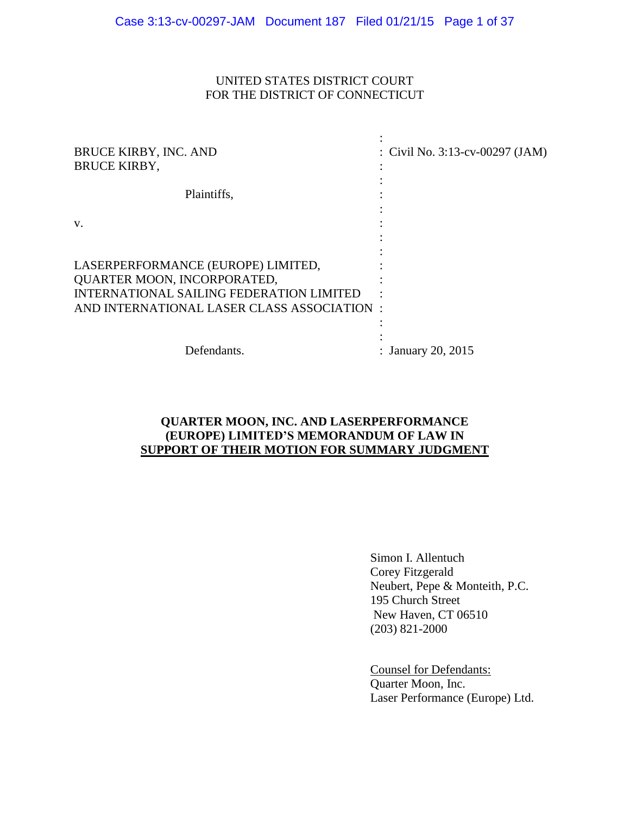# UNITED STATES DISTRICT COURT FOR THE DISTRICT OF CONNECTICUT

| <b>BRUCE KIRBY, INC. AND</b><br><b>BRUCE KIRBY,</b>                                                                                                                 | : Civil No. $3:13$ -cv-00297 (JAM) |
|---------------------------------------------------------------------------------------------------------------------------------------------------------------------|------------------------------------|
| Plaintiffs,                                                                                                                                                         |                                    |
| V.                                                                                                                                                                  |                                    |
| LASERPERFORMANCE (EUROPE) LIMITED,<br>QUARTER MOON, INCORPORATED,<br><b>INTERNATIONAL SAILING FEDERATION LIMITED</b><br>AND INTERNATIONAL LASER CLASS ASSOCIATION : |                                    |
| Defendants.                                                                                                                                                         | : January 20, 2015                 |

# **QUARTER MOON, INC. AND LASERPERFORMANCE (EUROPE) LIMITED'S MEMORANDUM OF LAW IN SUPPORT OF THEIR MOTION FOR SUMMARY JUDGMENT**

Simon I. Allentuch Corey Fitzgerald Neubert, Pepe & Monteith, P.C. 195 Church Street New Haven, CT 06510 (203) 821-2000

Counsel for Defendants: Quarter Moon, Inc. Laser Performance (Europe) Ltd.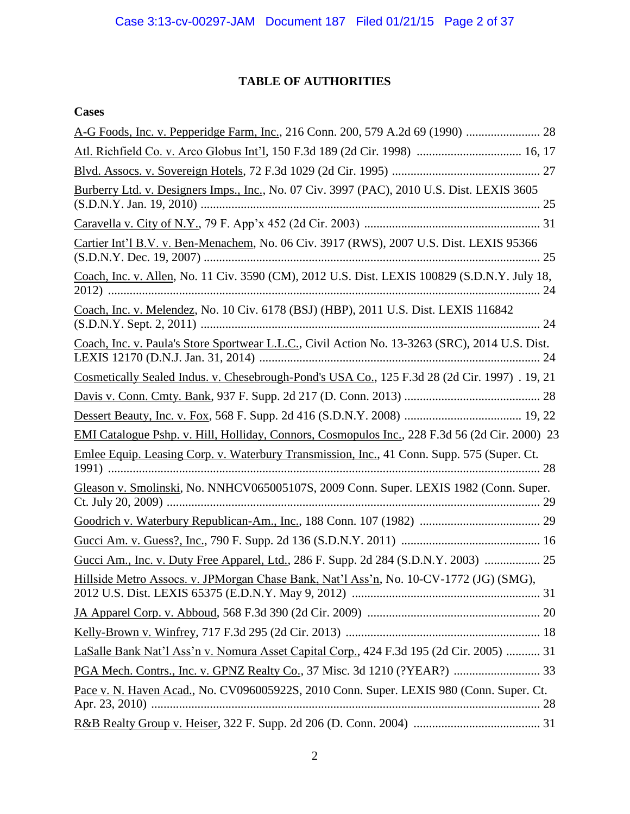# **TABLE OF AUTHORITIES**

# **Cases**

| A-G Foods, Inc. v. Pepperidge Farm, Inc., 216 Conn. 200, 579 A.2d 69 (1990)  28                |  |
|------------------------------------------------------------------------------------------------|--|
| Atl. Richfield Co. v. Arco Globus Int'l, 150 F.3d 189 (2d Cir. 1998)  16, 17                   |  |
|                                                                                                |  |
| Burberry Ltd. v. Designers Imps., Inc., No. 07 Civ. 3997 (PAC), 2010 U.S. Dist. LEXIS 3605     |  |
|                                                                                                |  |
| Cartier Int'l B.V. v. Ben-Menachem, No. 06 Civ. 3917 (RWS), 2007 U.S. Dist. LEXIS 95366        |  |
| Coach, Inc. v. Allen, No. 11 Civ. 3590 (CM), 2012 U.S. Dist. LEXIS 100829 (S.D.N.Y. July 18,   |  |
| Coach, Inc. v. Melendez, No. 10 Civ. 6178 (BSJ) (HBP), 2011 U.S. Dist. LEXIS 116842            |  |
| Coach, Inc. v. Paula's Store Sportwear L.L.C., Civil Action No. 13-3263 (SRC), 2014 U.S. Dist. |  |
| Cosmetically Sealed Indus. v. Chesebrough-Pond's USA Co., 125 F.3d 28 (2d Cir. 1997). 19, 21   |  |
|                                                                                                |  |
|                                                                                                |  |
| EMI Catalogue Pshp. v. Hill, Holliday, Connors, Cosmopulos Inc., 228 F.3d 56 (2d Cir. 2000) 23 |  |
| Emlee Equip. Leasing Corp. v. Waterbury Transmission, Inc., 41 Conn. Supp. 575 (Super. Ct.     |  |
| Gleason v. Smolinski, No. NNHCV065005107S, 2009 Conn. Super. LEXIS 1982 (Conn. Super.          |  |
|                                                                                                |  |
|                                                                                                |  |
| Gucci Am., Inc. v. Duty Free Apparel, Ltd., 286 F. Supp. 2d 284 (S.D.N.Y. 2003)  25            |  |
| Hillside Metro Assocs. v. JPMorgan Chase Bank, Nat'l Ass'n, No. 10-CV-1772 (JG) (SMG),         |  |
|                                                                                                |  |
|                                                                                                |  |
|                                                                                                |  |
| LaSalle Bank Nat'l Ass'n v. Nomura Asset Capital Corp., 424 F.3d 195 (2d Cir. 2005)  31        |  |
|                                                                                                |  |
| Pace v. N. Haven Acad., No. CV096005922S, 2010 Conn. Super. LEXIS 980 (Conn. Super. Ct.        |  |
|                                                                                                |  |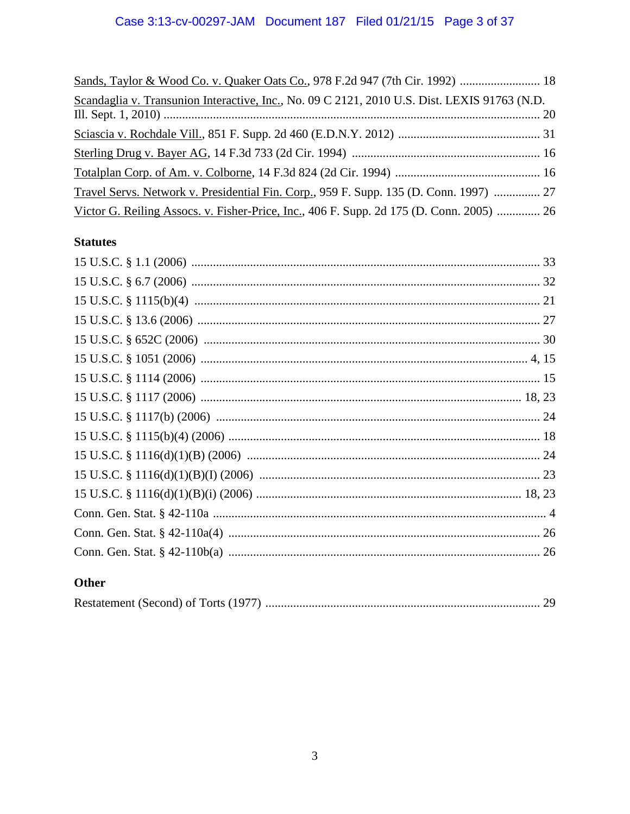# Case 3:13-cv-00297-JAM Document 187 Filed 01/21/15 Page 3 of 37

| Sands, Taylor & Wood Co. v. Quaker Oats Co., 978 F.2d 947 (7th Cir. 1992)  18                |  |
|----------------------------------------------------------------------------------------------|--|
| Scandaglia v. Transunion Interactive, Inc., No. 09 C 2121, 2010 U.S. Dist. LEXIS 91763 (N.D. |  |
|                                                                                              |  |
|                                                                                              |  |
|                                                                                              |  |
|                                                                                              |  |
| Travel Servs. Network v. Presidential Fin. Corp., 959 F. Supp. 135 (D. Conn. 1997)  27       |  |
| Victor G. Reiling Assocs. v. Fisher-Price, Inc., 406 F. Supp. 2d 175 (D. Conn. 2005)  26     |  |

# **Statutes**

# Other

|--|--|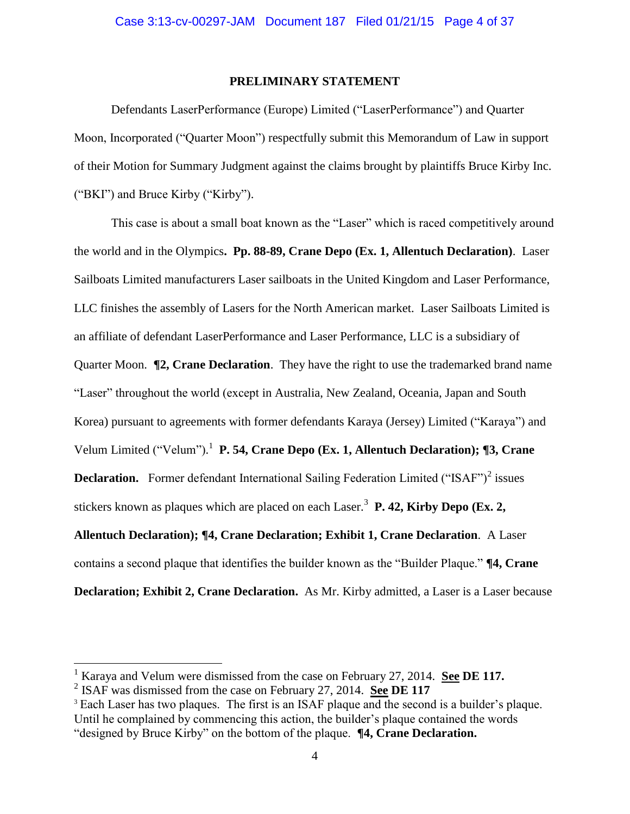# **PRELIMINARY STATEMENT**

Defendants LaserPerformance (Europe) Limited ("LaserPerformance") and Quarter Moon, Incorporated ("Quarter Moon") respectfully submit this Memorandum of Law in support of their Motion for Summary Judgment against the claims brought by plaintiffs Bruce Kirby Inc. ("BKI") and Bruce Kirby ("Kirby").

This case is about a small boat known as the "Laser" which is raced competitively around the world and in the Olympics**. Pp. 88-89, Crane Depo (Ex. 1, Allentuch Declaration)**. Laser Sailboats Limited manufacturers Laser sailboats in the United Kingdom and Laser Performance, LLC finishes the assembly of Lasers for the North American market. Laser Sailboats Limited is an affiliate of defendant LaserPerformance and Laser Performance, LLC is a subsidiary of Quarter Moon. **¶2, Crane Declaration**. They have the right to use the trademarked brand name "Laser" throughout the world (except in Australia, New Zealand, Oceania, Japan and South Korea) pursuant to agreements with former defendants Karaya (Jersey) Limited ("Karaya") and Velum Limited ("Velum"). 1 **P. 54, Crane Depo (Ex. 1, Allentuch Declaration); ¶3, Crane Declaration.** Former defendant International Sailing Federation Limited ("ISAF")<sup>2</sup> issues stickers known as plaques which are placed on each Laser.<sup>3</sup> P. 42, Kirby Depo (Ex. 2, **Allentuch Declaration); ¶4, Crane Declaration; Exhibit 1, Crane Declaration**. A Laser contains a second plaque that identifies the builder known as the "Builder Plaque." **¶4, Crane Declaration; Exhibit 2, Crane Declaration.** As Mr. Kirby admitted, a Laser is a Laser because

 $\overline{a}$ 

<sup>1</sup> Karaya and Velum were dismissed from the case on February 27, 2014. **See DE 117.**

<sup>2</sup> ISAF was dismissed from the case on February 27, 2014. **See DE 117**

<sup>&</sup>lt;sup>3</sup> Each Laser has two plaques. The first is an ISAF plaque and the second is a builder's plaque. Until he complained by commencing this action, the builder's plaque contained the words "designed by Bruce Kirby" on the bottom of the plaque. **¶4, Crane Declaration.**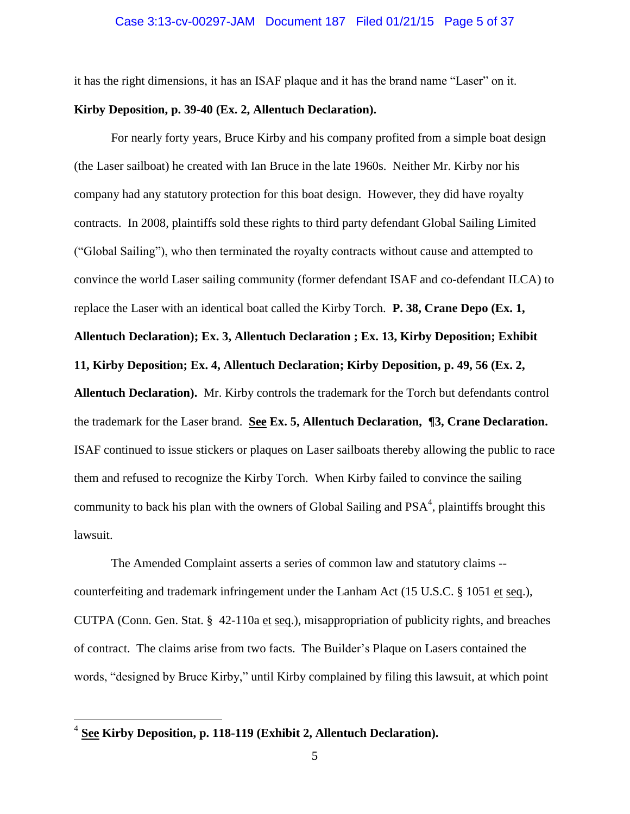it has the right dimensions, it has an ISAF plaque and it has the brand name "Laser" on it.

# **Kirby Deposition, p. 39-40 (Ex. 2, Allentuch Declaration).**

For nearly forty years, Bruce Kirby and his company profited from a simple boat design (the Laser sailboat) he created with Ian Bruce in the late 1960s. Neither Mr. Kirby nor his company had any statutory protection for this boat design. However, they did have royalty contracts. In 2008, plaintiffs sold these rights to third party defendant Global Sailing Limited ("Global Sailing"), who then terminated the royalty contracts without cause and attempted to convince the world Laser sailing community (former defendant ISAF and co-defendant ILCA) to replace the Laser with an identical boat called the Kirby Torch. **P. 38, Crane Depo (Ex. 1, Allentuch Declaration); Ex. 3, Allentuch Declaration ; Ex. 13, Kirby Deposition; Exhibit 11, Kirby Deposition; Ex. 4, Allentuch Declaration; Kirby Deposition, p. 49, 56 (Ex. 2, Allentuch Declaration).** Mr. Kirby controls the trademark for the Torch but defendants control the trademark for the Laser brand. **See Ex. 5, Allentuch Declaration, ¶3, Crane Declaration.** ISAF continued to issue stickers or plaques on Laser sailboats thereby allowing the public to race them and refused to recognize the Kirby Torch. When Kirby failed to convince the sailing community to back his plan with the owners of Global Sailing and  $PSA<sup>4</sup>$ , plaintiffs brought this lawsuit.

<span id="page-4-1"></span><span id="page-4-0"></span>The Amended Complaint asserts a series of common law and statutory claims - counterfeiting and trademark infringement under the Lanham Act (15 U.S.C. § 1051 et seq.), CUTPA (Conn. Gen. Stat. § 42-110a et seq.), misappropriation of publicity rights, and breaches of contract. The claims arise from two facts. The Builder's Plaque on Lasers contained the words, "designed by Bruce Kirby," until Kirby complained by filing this lawsuit, at which point

 $\overline{a}$ 

<sup>4</sup> **See Kirby Deposition, p. 118-119 (Exhibit 2, Allentuch Declaration).**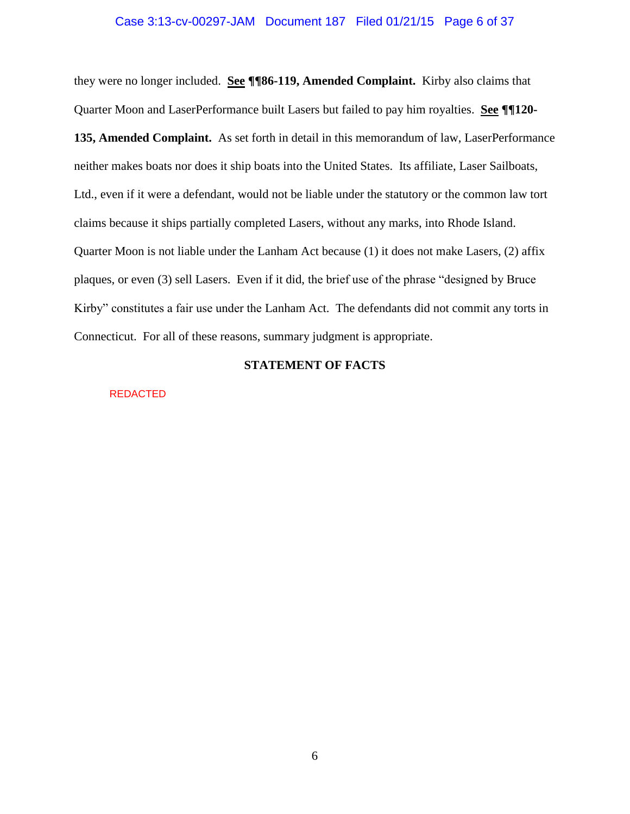#### Case 3:13-cv-00297-JAM Document 187 Filed 01/21/15 Page 6 of 37

they were no longer included. **See ¶¶86-119, Amended Complaint.** Kirby also claims that Quarter Moon and LaserPerformance built Lasers but failed to pay him royalties. **See ¶¶120- 135, Amended Complaint.** As set forth in detail in this memorandum of law, LaserPerformance neither makes boats nor does it ship boats into the United States. Its affiliate, Laser Sailboats, Ltd., even if it were a defendant, would not be liable under the statutory or the common law tort claims because it ships partially completed Lasers, without any marks, into Rhode Island. Quarter Moon is not liable under the Lanham Act because (1) it does not make Lasers, (2) affix plaques, or even (3) sell Lasers. Even if it did, the brief use of the phrase "designed by Bruce Kirby" constitutes a fair use under the Lanham Act. The defendants did not commit any torts in Connecticut. For all of these reasons, summary judgment is appropriate.

#### **STATEMENT OF FACTS**

REDACTED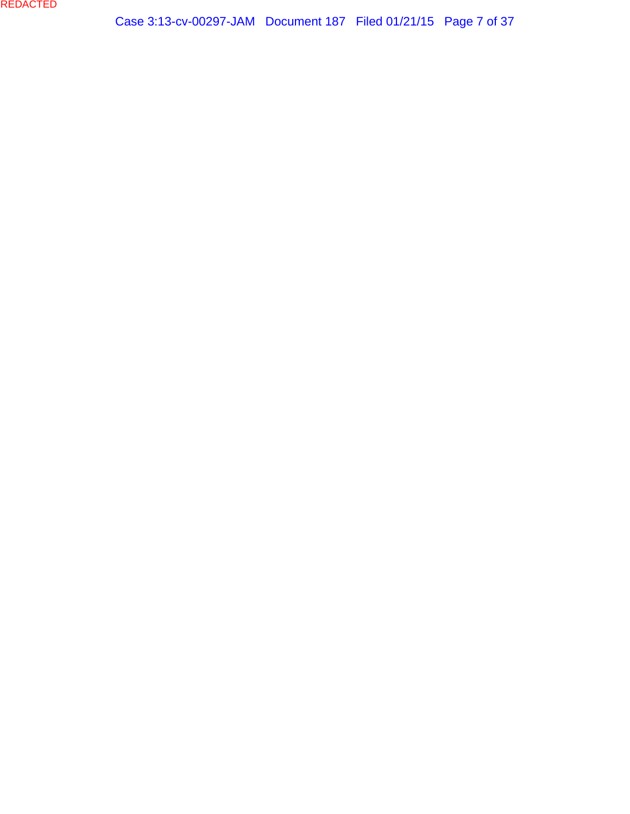Case 3:13-cv-00297-JAM Document 187 Filed 01/21/15 Page 7 of 37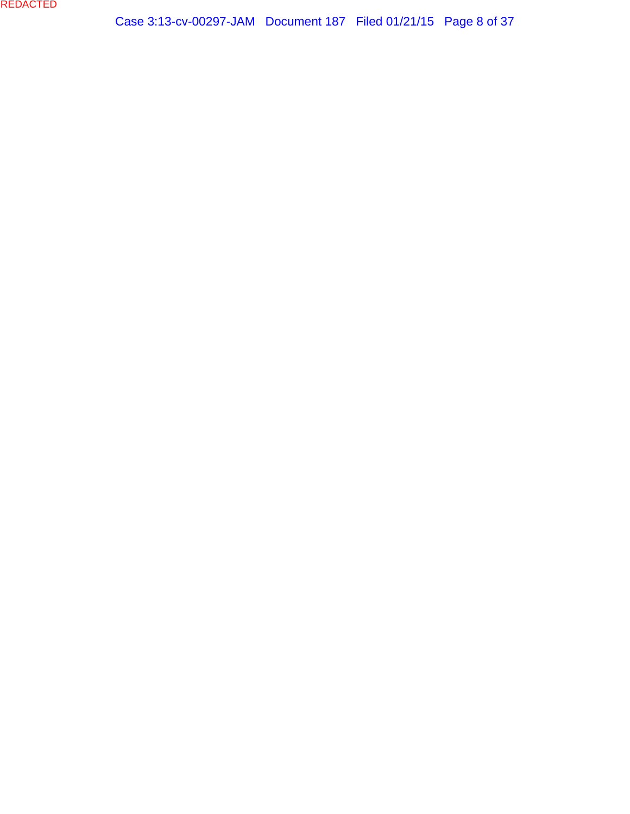Case 3:13-cv-00297-JAM Document 187 Filed 01/21/15 Page 8 of 37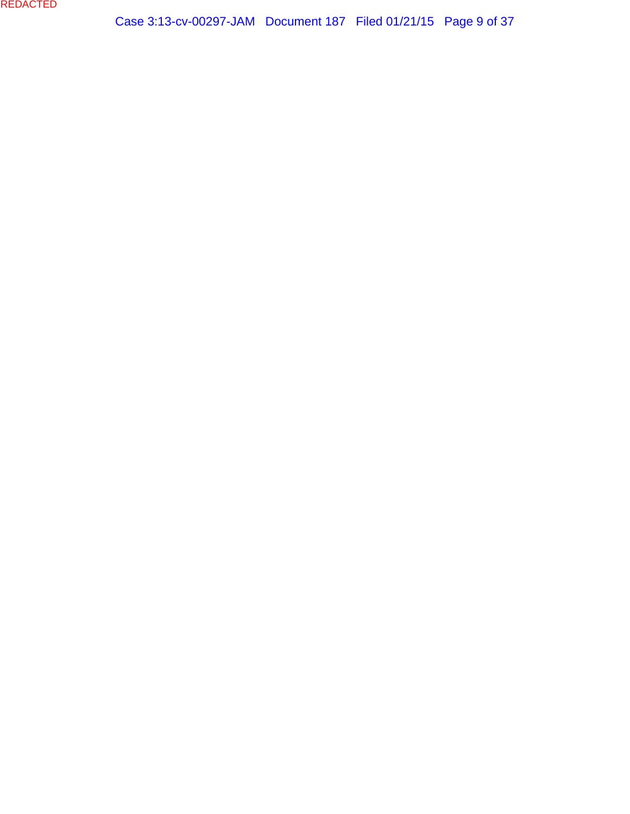Case 3:13-cv-00297-JAM Document 187 Filed 01/21/15 Page 9 of 37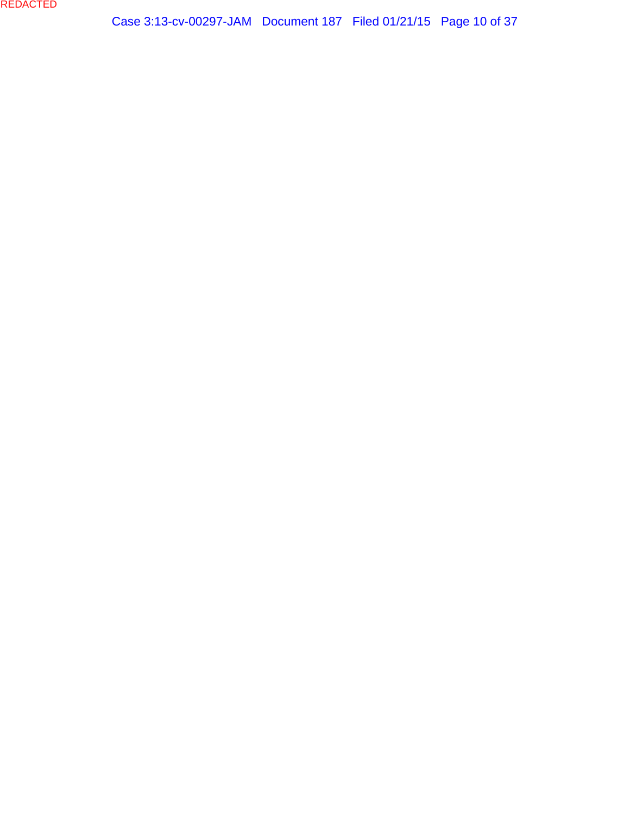Case 3:13-cv-00297-JAM Document 187 Filed 01/21/15 Page 10 of 37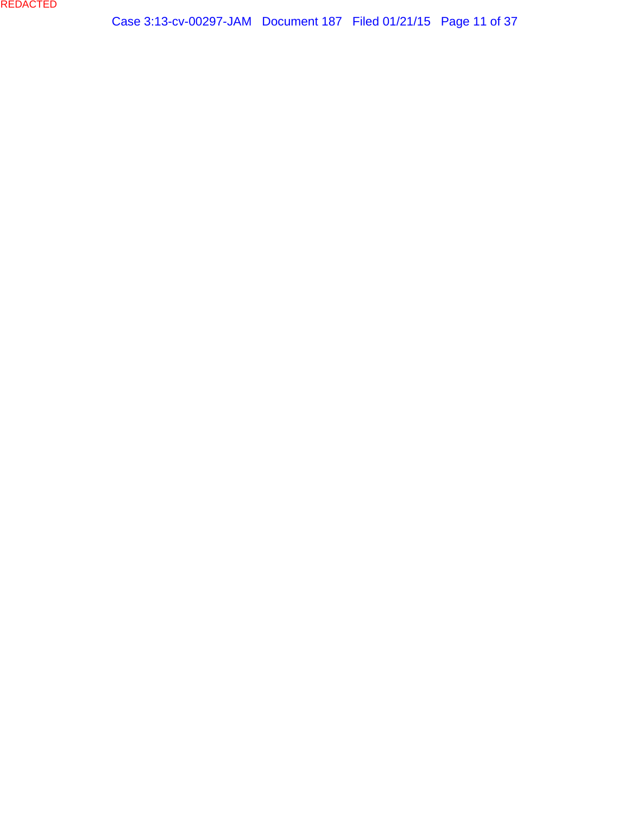Case 3:13-cv-00297-JAM Document 187 Filed 01/21/15 Page 11 of 37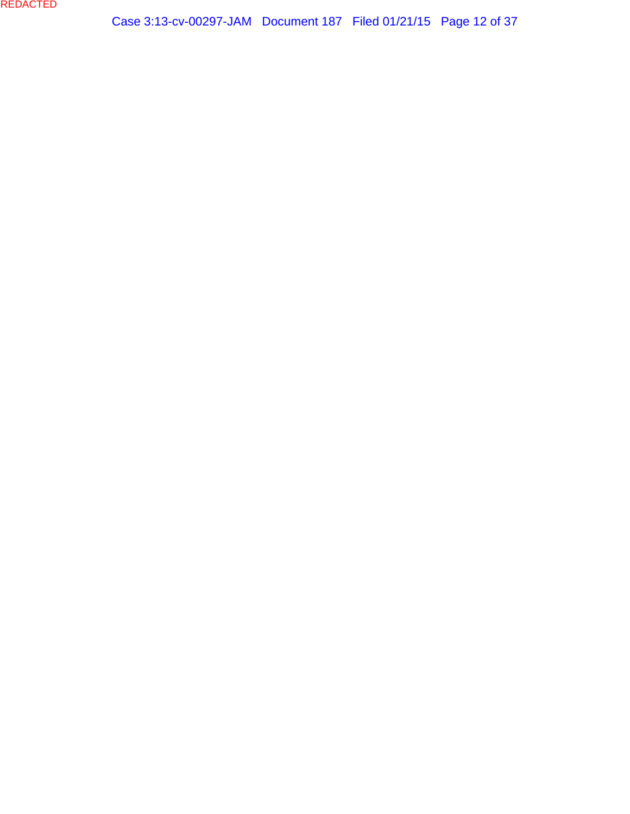Case 3:13-cv-00297-JAM Document 187 Filed 01/21/15 Page 12 of 37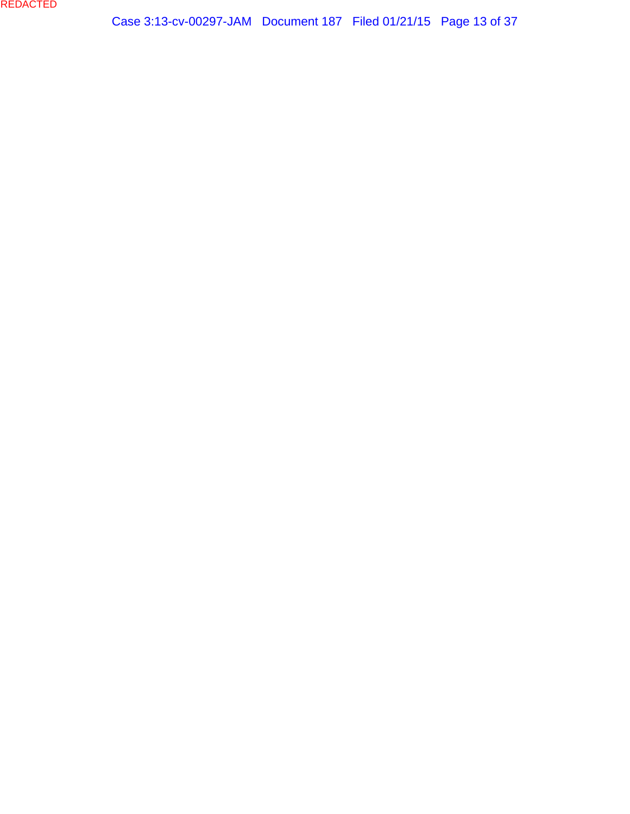Case 3:13-cv-00297-JAM Document 187 Filed 01/21/15 Page 13 of 37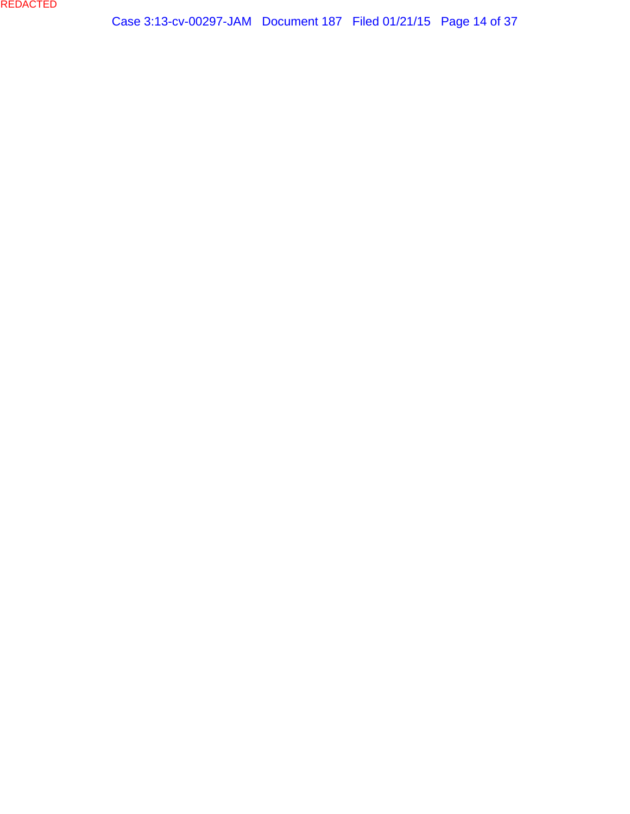Case 3:13-cv-00297-JAM Document 187 Filed 01/21/15 Page 14 of 37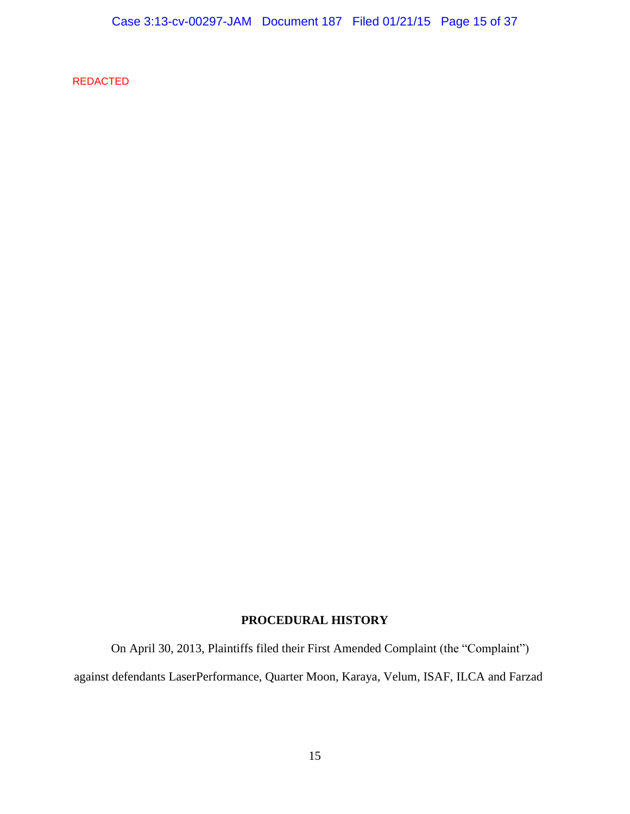REDACTED

# **PROCEDURAL HISTORY**

On April 30, 2013, Plaintiffs filed their First Amended Complaint (the "Complaint")

against defendants LaserPerformance, Quarter Moon, Karaya, Velum, ISAF, ILCA and Farzad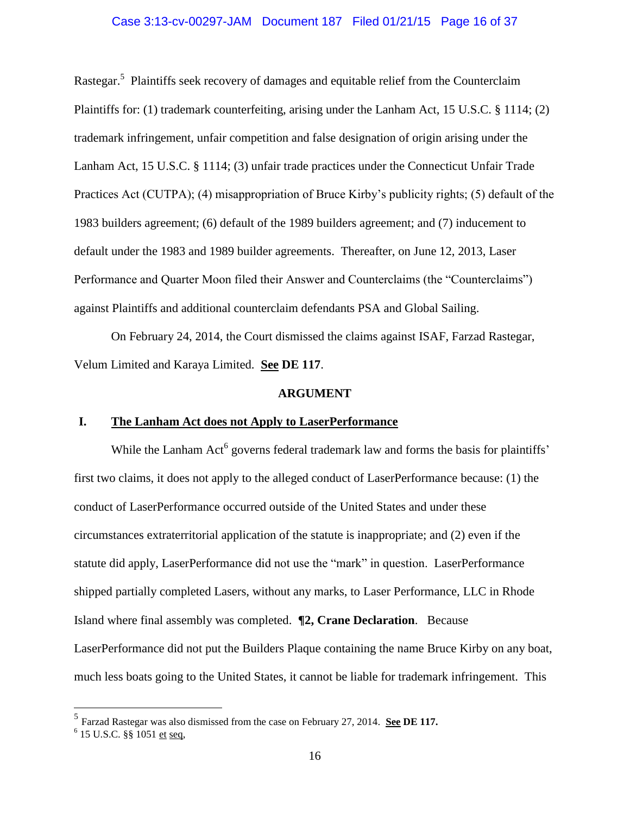#### Case 3:13-cv-00297-JAM Document 187 Filed 01/21/15 Page 16 of 37

Rastegar.<sup>5</sup> Plaintiffs seek recovery of damages and equitable relief from the Counterclaim Plaintiffs for: (1) trademark counterfeiting, arising under the Lanham Act, 15 U.S.C. § 1114; (2) trademark infringement, unfair competition and false designation of origin arising under the Lanham Act, 15 U.S.C. § 1114; (3) unfair trade practices under the Connecticut Unfair Trade Practices Act (CUTPA); (4) misappropriation of Bruce Kirby's publicity rights; (5) default of the 1983 builders agreement; (6) default of the 1989 builders agreement; and (7) inducement to default under the 1983 and 1989 builder agreements. Thereafter, on June 12, 2013, Laser Performance and Quarter Moon filed their Answer and Counterclaims (the "Counterclaims") against Plaintiffs and additional counterclaim defendants PSA and Global Sailing.

On February 24, 2014, the Court dismissed the claims against ISAF, Farzad Rastegar, Velum Limited and Karaya Limited. **See DE 117**.

#### <span id="page-15-1"></span>**ARGUMENT**

# **I. The Lanham Act does not Apply to LaserPerformance**

While the Lanham  $Act^6$  governs federal trademark law and forms the basis for plaintiffs' first two claims, it does not apply to the alleged conduct of LaserPerformance because: (1) the conduct of LaserPerformance occurred outside of the United States and under these circumstances extraterritorial application of the statute is inappropriate; and (2) even if the statute did apply, LaserPerformance did not use the "mark" in question. LaserPerformance shipped partially completed Lasers, without any marks, to Laser Performance, LLC in Rhode Island where final assembly was completed. **¶2, Crane Declaration**. Because LaserPerformance did not put the Builders Plaque containing the name Bruce Kirby on any boat, much less boats going to the United States, it cannot be liable for trademark infringement. This

 $\overline{a}$ 

<sup>5</sup> Farzad Rastegar was also dismissed from the case on February 27, 2014. **See DE 117.**

<span id="page-15-0"></span> $^{6}$  15 U.S.C. §§ 1051 <u>et</u> seq,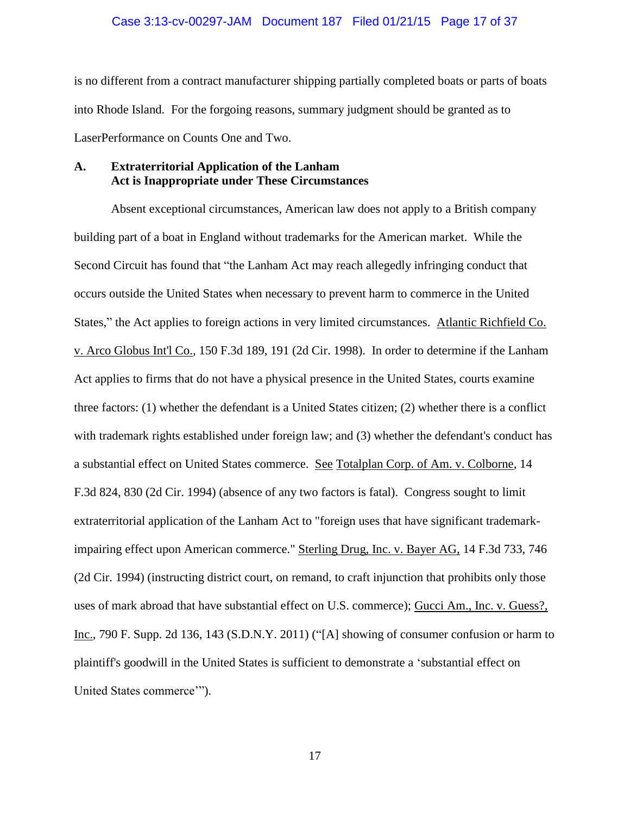is no different from a contract manufacturer shipping partially completed boats or parts of boats into Rhode Island. For the forgoing reasons, summary judgment should be granted as to LaserPerformance on Counts One and Two.

# **A. Extraterritorial Application of the Lanham Act is Inappropriate under These Circumstances**

<span id="page-16-3"></span><span id="page-16-2"></span><span id="page-16-1"></span><span id="page-16-0"></span>Absent exceptional circumstances, American law does not apply to a British company building part of a boat in England without trademarks for the American market. While the Second Circuit has found that "the Lanham Act may reach allegedly infringing conduct that occurs outside the United States when necessary to prevent harm to commerce in the United States," the Act applies to foreign actions in very limited circumstances. Atlantic Richfield Co. v. Arco Globus Int'l Co., 150 F.3d 189, 191 (2d Cir. 1998). In order to determine if the Lanham Act applies to firms that do not have a physical presence in the United States, courts examine three factors: (1) whether the defendant is a United States citizen; (2) whether there is a conflict with trademark rights established under foreign law; and (3) whether the defendant's conduct has a substantial effect on United States commerce. See Totalplan Corp. of Am. v. Colborne, 14 F.3d 824, 830 (2d Cir. 1994) (absence of any two factors is fatal). Congress sought to limit extraterritorial application of the Lanham Act to "foreign uses that have significant trademarkimpairing effect upon American commerce." Sterling Drug, Inc. v. Bayer AG, 14 F.3d 733, 746 (2d Cir. 1994) (instructing district court, on remand, to craft injunction that prohibits only those uses of mark abroad that have substantial effect on U.S. commerce); Gucci Am., Inc. v. Guess?, Inc., 790 F. Supp. 2d 136, 143 (S.D.N.Y. 2011) ("[A] showing of consumer confusion or harm to plaintiff's goodwill in the United States is sufficient to demonstrate a 'substantial effect on United States commerce'").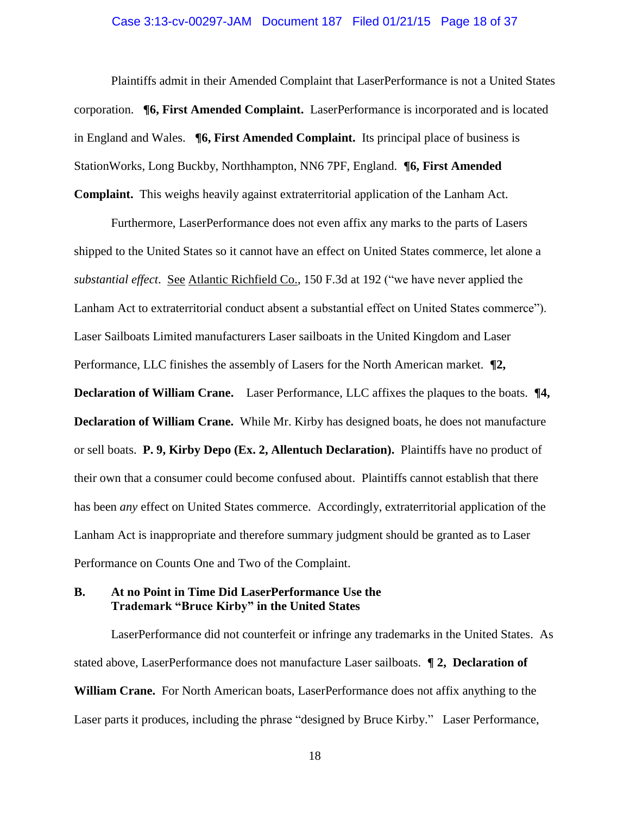#### Case 3:13-cv-00297-JAM Document 187 Filed 01/21/15 Page 18 of 37

Plaintiffs admit in their Amended Complaint that LaserPerformance is not a United States corporation. **¶6, First Amended Complaint.** LaserPerformance is incorporated and is located in England and Wales. **¶6, First Amended Complaint.** Its principal place of business is StationWorks, Long Buckby, Northhampton, NN6 7PF, England. **¶6, First Amended Complaint.** This weighs heavily against extraterritorial application of the Lanham Act.

<span id="page-17-0"></span>Furthermore, LaserPerformance does not even affix any marks to the parts of Lasers shipped to the United States so it cannot have an effect on United States commerce, let alone a *substantial effect*. See Atlantic Richfield Co., 150 F.3d at 192 ("we have never applied the Lanham Act to extraterritorial conduct absent a substantial effect on United States commerce"). Laser Sailboats Limited manufacturers Laser sailboats in the United Kingdom and Laser Performance, LLC finishes the assembly of Lasers for the North American market. **¶2, Declaration of William Crane.** Laser Performance, LLC affixes the plaques to the boats. **¶4, Declaration of William Crane.** While Mr. Kirby has designed boats, he does not manufacture or sell boats. **P. 9, Kirby Depo (Ex. 2, Allentuch Declaration).** Plaintiffs have no product of their own that a consumer could become confused about. Plaintiffs cannot establish that there has been *any* effect on United States commerce. Accordingly, extraterritorial application of the Lanham Act is inappropriate and therefore summary judgment should be granted as to Laser Performance on Counts One and Two of the Complaint.

# **B. At no Point in Time Did LaserPerformance Use the Trademark "Bruce Kirby" in the United States**

LaserPerformance did not counterfeit or infringe any trademarks in the United States. As stated above, LaserPerformance does not manufacture Laser sailboats. **¶ 2, Declaration of William Crane.** For North American boats, LaserPerformance does not affix anything to the Laser parts it produces, including the phrase "designed by Bruce Kirby." Laser Performance,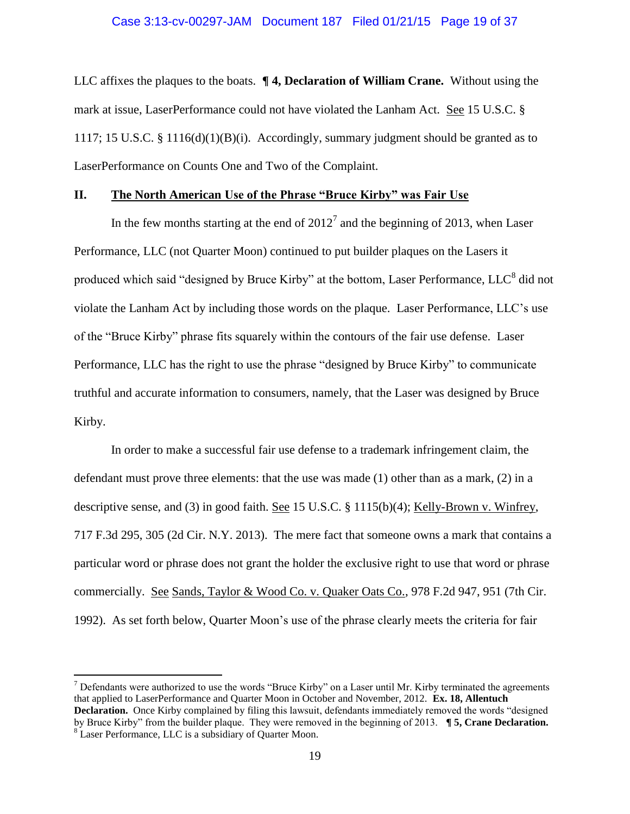# <span id="page-18-2"></span>Case 3:13-cv-00297-JAM Document 187 Filed 01/21/15 Page 19 of 37

<span id="page-18-4"></span>LLC affixes the plaques to the boats. **¶ 4, Declaration of William Crane.** Without using the mark at issue, LaserPerformance could not have violated the Lanham Act. See 15 U.S.C. § 1117; 15 U.S.C. § 1116(d)(1)(B)(i). Accordingly, summary judgment should be granted as to LaserPerformance on Counts One and Two of the Complaint.

# **II. The North American Use of the Phrase "Bruce Kirby" was Fair Use**

In the few months starting at the end of  $2012<sup>7</sup>$  and the beginning of 2013, when Laser Performance, LLC (not Quarter Moon) continued to put builder plaques on the Lasers it produced which said "designed by Bruce Kirby" at the bottom, Laser Performance,  $LLC<sup>8</sup>$  did not violate the Lanham Act by including those words on the plaque. Laser Performance, LLC's use of the "Bruce Kirby" phrase fits squarely within the contours of the fair use defense. Laser Performance, LLC has the right to use the phrase "designed by Bruce Kirby" to communicate truthful and accurate information to consumers, namely, that the Laser was designed by Bruce Kirby.

<span id="page-18-3"></span><span id="page-18-0"></span>In order to make a successful fair use defense to a trademark infringement claim, the defendant must prove three elements: that the use was made (1) other than as a mark, (2) in a descriptive sense, and (3) in good faith. See 15 U.S.C. § 1115(b)(4); Kelly-Brown v. Winfrey, 717 F.3d 295, 305 (2d Cir. N.Y. 2013). The mere fact that someone owns a mark that contains a particular word or phrase does not grant the holder the exclusive right to use that word or phrase commercially. See Sands, Taylor & Wood Co. v. Quaker Oats Co., 978 F.2d 947, 951 (7th Cir. 1992). As set forth below, Quarter Moon's use of the phrase clearly meets the criteria for fair

<span id="page-18-1"></span> $\overline{a}$ 

 $<sup>7</sup>$  Defendants were authorized to use the words "Bruce Kirby" on a Laser until Mr. Kirby terminated the agreements</sup> that applied to LaserPerformance and Quarter Moon in October and November, 2012. **Ex. 18, Allentuch Declaration.** Once Kirby complained by filing this lawsuit, defendants immediately removed the words "designed by Bruce Kirby" from the builder plaque. They were removed in the beginning of 2013. **¶ 5, Crane Declaration.** <sup>8</sup> Laser Performance, LLC is a subsidiary of Quarter Moon.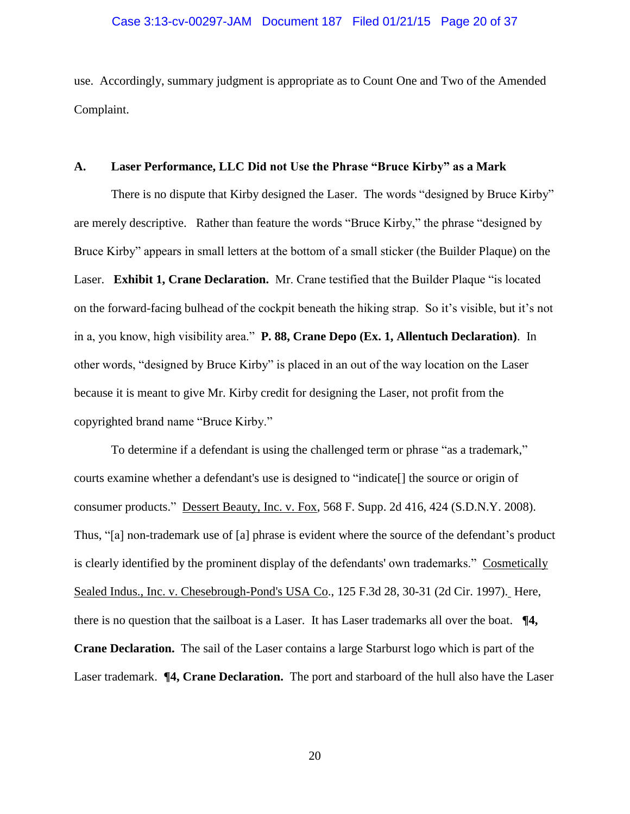use. Accordingly, summary judgment is appropriate as to Count One and Two of the Amended Complaint.

### **A. Laser Performance, LLC Did not Use the Phrase "Bruce Kirby" as a Mark**

There is no dispute that Kirby designed the Laser. The words "designed by Bruce Kirby" are merely descriptive. Rather than feature the words "Bruce Kirby," the phrase "designed by Bruce Kirby" appears in small letters at the bottom of a small sticker (the Builder Plaque) on the Laser. **Exhibit 1, Crane Declaration.** Mr. Crane testified that the Builder Plaque "is located on the forward-facing bulhead of the cockpit beneath the hiking strap. So it's visible, but it's not in a, you know, high visibility area." **P. 88, Crane Depo (Ex. 1, Allentuch Declaration)**. In other words, "designed by Bruce Kirby" is placed in an out of the way location on the Laser because it is meant to give Mr. Kirby credit for designing the Laser, not profit from the copyrighted brand name "Bruce Kirby."

<span id="page-19-1"></span><span id="page-19-0"></span>To determine if a defendant is using the challenged term or phrase "as a trademark," courts examine whether a defendant's use is designed to "indicate[] the source or origin of consumer products." Dessert Beauty, Inc. v. Fox, 568 F. Supp. 2d 416, 424 (S.D.N.Y. 2008). Thus, "[a] non-trademark use of [a] phrase is evident where the source of the defendant's product is clearly identified by the prominent display of the defendants' own trademarks." Cosmetically Sealed Indus., Inc. v. Chesebrough-Pond's USA Co., 125 F.3d 28, 30-31 (2d Cir. 1997). Here, there is no question that the sailboat is a Laser. It has Laser trademarks all over the boat. **¶4, Crane Declaration.** The sail of the Laser contains a large Starburst logo which is part of the Laser trademark. **¶4, Crane Declaration.** The port and starboard of the hull also have the Laser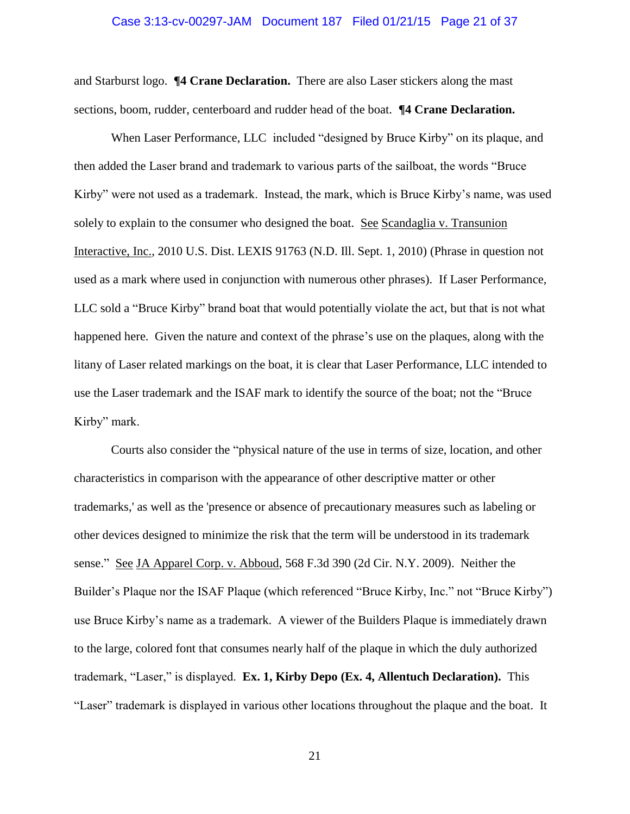#### Case 3:13-cv-00297-JAM Document 187 Filed 01/21/15 Page 21 of 37

and Starburst logo. **¶4 Crane Declaration.** There are also Laser stickers along the mast sections, boom, rudder, centerboard and rudder head of the boat. **¶4 Crane Declaration.**

<span id="page-20-1"></span>When Laser Performance, LLC included "designed by Bruce Kirby" on its plaque, and then added the Laser brand and trademark to various parts of the sailboat, the words "Bruce Kirby" were not used as a trademark. Instead, the mark, which is Bruce Kirby's name, was used solely to explain to the consumer who designed the boat. See Scandaglia v. Transunion Interactive, Inc., 2010 U.S. Dist. LEXIS 91763 (N.D. Ill. Sept. 1, 2010) (Phrase in question not used as a mark where used in conjunction with numerous other phrases). If Laser Performance, LLC sold a "Bruce Kirby" brand boat that would potentially violate the act, but that is not what happened here. Given the nature and context of the phrase's use on the plaques, along with the litany of Laser related markings on the boat, it is clear that Laser Performance, LLC intended to use the Laser trademark and the ISAF mark to identify the source of the boat; not the "Bruce Kirby" mark.

<span id="page-20-0"></span>Courts also consider the "physical nature of the use in terms of size, location, and other characteristics in comparison with the appearance of other descriptive matter or other trademarks,' as well as the 'presence or absence of precautionary measures such as labeling or other devices designed to minimize the risk that the term will be understood in its trademark sense." See JA Apparel Corp. v. Abboud, 568 F.3d 390 (2d Cir. N.Y. 2009). Neither the Builder's Plaque nor the ISAF Plaque (which referenced "Bruce Kirby, Inc." not "Bruce Kirby") use Bruce Kirby's name as a trademark. A viewer of the Builders Plaque is immediately drawn to the large, colored font that consumes nearly half of the plaque in which the duly authorized trademark, "Laser," is displayed. **Ex. 1, Kirby Depo (Ex. 4, Allentuch Declaration).** This "Laser" trademark is displayed in various other locations throughout the plaque and the boat. It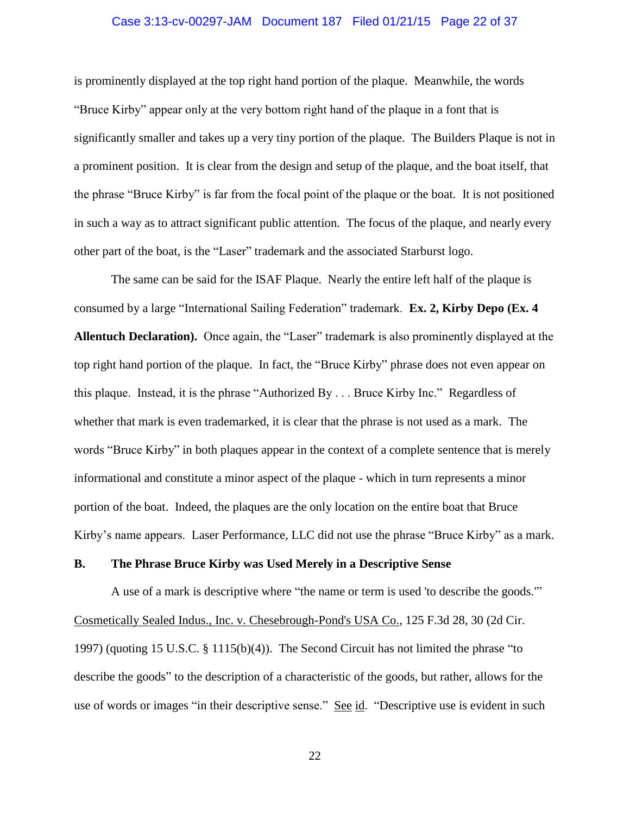#### Case 3:13-cv-00297-JAM Document 187 Filed 01/21/15 Page 22 of 37

is prominently displayed at the top right hand portion of the plaque. Meanwhile, the words "Bruce Kirby" appear only at the very bottom right hand of the plaque in a font that is significantly smaller and takes up a very tiny portion of the plaque. The Builders Plaque is not in a prominent position. It is clear from the design and setup of the plaque, and the boat itself, that the phrase "Bruce Kirby" is far from the focal point of the plaque or the boat. It is not positioned in such a way as to attract significant public attention. The focus of the plaque, and nearly every other part of the boat, is the "Laser" trademark and the associated Starburst logo.

The same can be said for the ISAF Plaque. Nearly the entire left half of the plaque is consumed by a large "International Sailing Federation" trademark. **Ex. 2, Kirby Depo (Ex. 4 Allentuch Declaration).** Once again, the "Laser" trademark is also prominently displayed at the top right hand portion of the plaque. In fact, the "Bruce Kirby" phrase does not even appear on this plaque. Instead, it is the phrase "Authorized By . . . Bruce Kirby Inc." Regardless of whether that mark is even trademarked, it is clear that the phrase is not used as a mark. The words "Bruce Kirby" in both plaques appear in the context of a complete sentence that is merely informational and constitute a minor aspect of the plaque - which in turn represents a minor portion of the boat. Indeed, the plaques are the only location on the entire boat that Bruce Kirby's name appears. Laser Performance, LLC did not use the phrase "Bruce Kirby" as a mark.

#### **B. The Phrase Bruce Kirby was Used Merely in a Descriptive Sense**

<span id="page-21-0"></span>A use of a mark is descriptive where "the name or term is used 'to describe the goods.'" Cosmetically Sealed Indus., Inc. v. Chesebrough-Pond's USA Co., 125 F.3d 28, 30 (2d Cir. 1997) (quoting 15 U.S.C. § 1115(b)(4)). The Second Circuit has not limited the phrase "to describe the goods" to the description of a characteristic of the goods, but rather, allows for the use of words or images "in their descriptive sense." See id. "Descriptive use is evident in such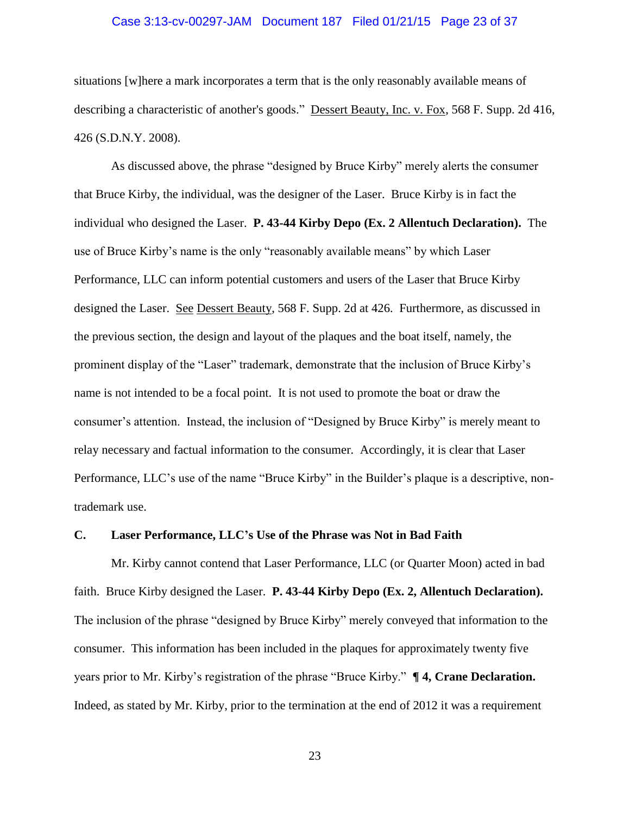#### <span id="page-22-0"></span>Case 3:13-cv-00297-JAM Document 187 Filed 01/21/15 Page 23 of 37

situations [w]here a mark incorporates a term that is the only reasonably available means of describing a characteristic of another's goods." Dessert Beauty, Inc. v. Fox, 568 F. Supp. 2d 416, 426 (S.D.N.Y. 2008).

As discussed above, the phrase "designed by Bruce Kirby" merely alerts the consumer that Bruce Kirby, the individual, was the designer of the Laser. Bruce Kirby is in fact the individual who designed the Laser. **P. 43-44 Kirby Depo (Ex. 2 Allentuch Declaration).** The use of Bruce Kirby's name is the only "reasonably available means" by which Laser Performance, LLC can inform potential customers and users of the Laser that Bruce Kirby designed the Laser. See Dessert Beauty, 568 F. Supp. 2d at 426. Furthermore, as discussed in the previous section, the design and layout of the plaques and the boat itself, namely, the prominent display of the "Laser" trademark, demonstrate that the inclusion of Bruce Kirby's name is not intended to be a focal point. It is not used to promote the boat or draw the consumer's attention. Instead, the inclusion of "Designed by Bruce Kirby" is merely meant to relay necessary and factual information to the consumer. Accordingly, it is clear that Laser Performance, LLC's use of the name "Bruce Kirby" in the Builder's plaque is a descriptive, nontrademark use.

#### **C. Laser Performance, LLC's Use of the Phrase was Not in Bad Faith**

Mr. Kirby cannot contend that Laser Performance, LLC (or Quarter Moon) acted in bad faith. Bruce Kirby designed the Laser. **P. 43-44 Kirby Depo (Ex. 2, Allentuch Declaration).**  The inclusion of the phrase "designed by Bruce Kirby" merely conveyed that information to the consumer. This information has been included in the plaques for approximately twenty five years prior to Mr. Kirby's registration of the phrase "Bruce Kirby." **¶ 4, Crane Declaration.** Indeed, as stated by Mr. Kirby, prior to the termination at the end of 2012 it was a requirement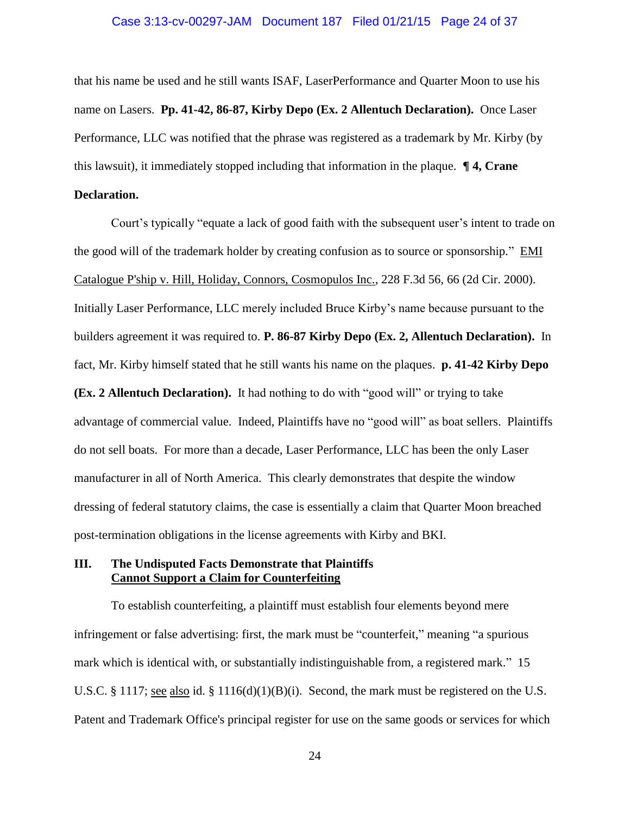#### Case 3:13-cv-00297-JAM Document 187 Filed 01/21/15 Page 24 of 37

that his name be used and he still wants ISAF, LaserPerformance and Quarter Moon to use his name on Lasers. **Pp. 41-42, 86-87, Kirby Depo (Ex. 2 Allentuch Declaration).** Once Laser Performance, LLC was notified that the phrase was registered as a trademark by Mr. Kirby (by this lawsuit), it immediately stopped including that information in the plaque. **¶ 4, Crane**

#### **Declaration.**

<span id="page-23-0"></span>Court's typically "equate a lack of good faith with the subsequent user's intent to trade on the good will of the trademark holder by creating confusion as to source or sponsorship." EMI Catalogue P'ship v. Hill, Holiday, Connors, Cosmopulos Inc., 228 F.3d 56, 66 (2d Cir. 2000). Initially Laser Performance, LLC merely included Bruce Kirby's name because pursuant to the builders agreement it was required to. **P. 86-87 Kirby Depo (Ex. 2, Allentuch Declaration).** In fact, Mr. Kirby himself stated that he still wants his name on the plaques. **p. 41-42 Kirby Depo** 

**(Ex. 2 Allentuch Declaration).** It had nothing to do with "good will" or trying to take advantage of commercial value. Indeed, Plaintiffs have no "good will" as boat sellers. Plaintiffs do not sell boats. For more than a decade, Laser Performance, LLC has been the only Laser manufacturer in all of North America. This clearly demonstrates that despite the window dressing of federal statutory claims, the case is essentially a claim that Quarter Moon breached post-termination obligations in the license agreements with Kirby and BKI.

## **III. The Undisputed Facts Demonstrate that Plaintiffs Cannot Support a Claim for Counterfeiting**

<span id="page-23-2"></span><span id="page-23-1"></span>To establish counterfeiting, a plaintiff must establish four elements beyond mere infringement or false advertising: first, the mark must be "counterfeit," meaning "a spurious mark which is identical with, or substantially indistinguishable from, a registered mark." 15 U.S.C. § 1117; see also id. § 1116(d)(1)(B)(i). Second, the mark must be registered on the U.S. Patent and Trademark Office's principal register for use on the same goods or services for which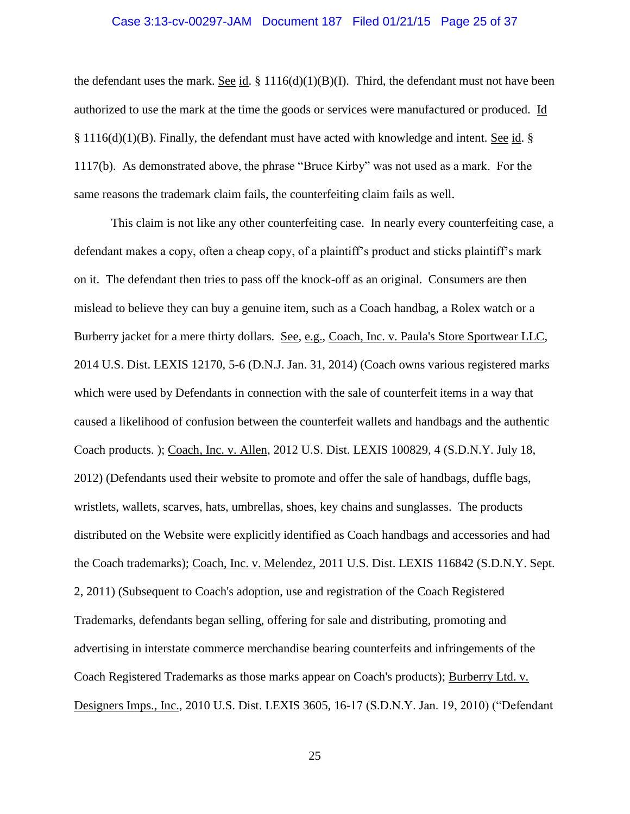#### <span id="page-24-6"></span><span id="page-24-4"></span>Case 3:13-cv-00297-JAM Document 187 Filed 01/21/15 Page 25 of 37

<span id="page-24-5"></span>the defendant uses the mark. See id.  $\S$  1116(d)(1)(B)(I). Third, the defendant must not have been authorized to use the mark at the time the goods or services were manufactured or produced. Id  $\S 1116(d)(1)(B)$ . Finally, the defendant must have acted with knowledge and intent. See id. § 1117(b). As demonstrated above, the phrase "Bruce Kirby" was not used as a mark. For the same reasons the trademark claim fails, the counterfeiting claim fails as well.

<span id="page-24-3"></span><span id="page-24-2"></span><span id="page-24-1"></span><span id="page-24-0"></span>This claim is not like any other counterfeiting case. In nearly every counterfeiting case, a defendant makes a copy, often a cheap copy, of a plaintiff's product and sticks plaintiff's mark on it. The defendant then tries to pass off the knock-off as an original. Consumers are then mislead to believe they can buy a genuine item, such as a Coach handbag, a Rolex watch or a Burberry jacket for a mere thirty dollars. See, e.g., Coach, Inc. v. Paula's Store Sportwear LLC, 2014 U.S. Dist. LEXIS 12170, 5-6 (D.N.J. Jan. 31, 2014) (Coach owns various registered marks which were used by Defendants in connection with the sale of counterfeit items in a way that caused a likelihood of confusion between the counterfeit wallets and handbags and the authentic Coach products. ); Coach, Inc. v. Allen, 2012 U.S. Dist. LEXIS 100829, 4 (S.D.N.Y. July 18, 2012) (Defendants used their website to promote and offer the sale of handbags, duffle bags, wristlets, wallets, scarves, hats, umbrellas, shoes, key chains and sunglasses. The products distributed on the Website were explicitly identified as Coach handbags and accessories and had the Coach trademarks); Coach, Inc. v. Melendez, 2011 U.S. Dist. LEXIS 116842 (S.D.N.Y. Sept. 2, 2011) (Subsequent to Coach's adoption, use and registration of the Coach Registered Trademarks, defendants began selling, offering for sale and distributing, promoting and advertising in interstate commerce merchandise bearing counterfeits and infringements of the Coach Registered Trademarks as those marks appear on Coach's products); Burberry Ltd. v. Designers Imps., Inc., 2010 U.S. Dist. LEXIS 3605, 16-17 (S.D.N.Y. Jan. 19, 2010) ("Defendant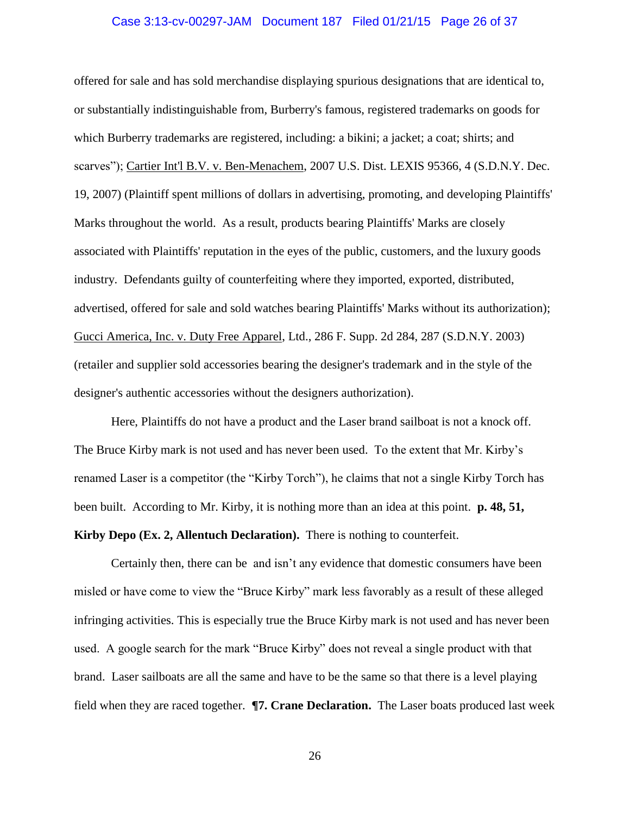#### Case 3:13-cv-00297-JAM Document 187 Filed 01/21/15 Page 26 of 37

<span id="page-25-0"></span>offered for sale and has sold merchandise displaying spurious designations that are identical to, or substantially indistinguishable from, Burberry's famous, registered trademarks on goods for which Burberry trademarks are registered, including: a bikini; a jacket; a coat; shirts; and scarves"); Cartier Int'l B.V. v. Ben-Menachem, 2007 U.S. Dist. LEXIS 95366, 4 (S.D.N.Y. Dec. 19, 2007) (Plaintiff spent millions of dollars in advertising, promoting, and developing Plaintiffs' Marks throughout the world. As a result, products bearing Plaintiffs' Marks are closely associated with Plaintiffs' reputation in the eyes of the public, customers, and the luxury goods industry. Defendants guilty of counterfeiting where they imported, exported, distributed, advertised, offered for sale and sold watches bearing Plaintiffs' Marks without its authorization); Gucci America, Inc. v. Duty Free Apparel, Ltd., 286 F. Supp. 2d 284, 287 (S.D.N.Y. 2003) (retailer and supplier sold accessories bearing the designer's trademark and in the style of the designer's authentic accessories without the designers authorization).

<span id="page-25-1"></span>Here, Plaintiffs do not have a product and the Laser brand sailboat is not a knock off. The Bruce Kirby mark is not used and has never been used. To the extent that Mr. Kirby's renamed Laser is a competitor (the "Kirby Torch"), he claims that not a single Kirby Torch has been built. According to Mr. Kirby, it is nothing more than an idea at this point. **p. 48, 51,** 

**Kirby Depo (Ex. 2, Allentuch Declaration).** There is nothing to counterfeit.

Certainly then, there can be and isn't any evidence that domestic consumers have been misled or have come to view the "Bruce Kirby" mark less favorably as a result of these alleged infringing activities. This is especially true the Bruce Kirby mark is not used and has never been used. A google search for the mark "Bruce Kirby" does not reveal a single product with that brand. Laser sailboats are all the same and have to be the same so that there is a level playing field when they are raced together. **¶7. Crane Declaration.** The Laser boats produced last week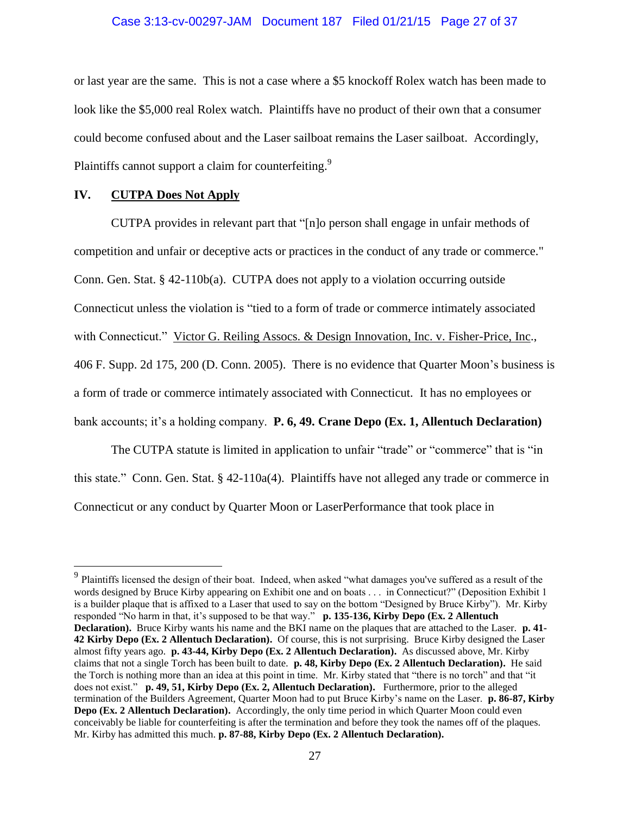#### Case 3:13-cv-00297-JAM Document 187 Filed 01/21/15 Page 27 of 37

or last year are the same. This is not a case where a \$5 knockoff Rolex watch has been made to look like the \$5,000 real Rolex watch. Plaintiffs have no product of their own that a consumer could become confused about and the Laser sailboat remains the Laser sailboat. Accordingly, Plaintiffs cannot support a claim for counterfeiting.<sup>9</sup>

#### **IV. CUTPA Does Not Apply**

<span id="page-26-2"></span><span id="page-26-0"></span>CUTPA provides in relevant part that "[n]o person shall engage in unfair methods of competition and unfair or deceptive acts or practices in the conduct of any trade or commerce." Conn. Gen. Stat. § 42-110b(a). CUTPA does not apply to a violation occurring outside Connecticut unless the violation is "tied to a form of trade or commerce intimately associated with Connecticut." Victor G. Reiling Assocs. & Design Innovation, Inc. v. Fisher-Price, Inc., 406 F. Supp. 2d 175, 200 (D. Conn. 2005). There is no evidence that Quarter Moon's business is a form of trade or commerce intimately associated with Connecticut. It has no employees or bank accounts; it's a holding company. **P. 6, 49. Crane Depo (Ex. 1, Allentuch Declaration)**

<span id="page-26-1"></span>The CUTPA statute is limited in application to unfair "trade" or "commerce" that is "in this state." Conn. Gen. Stat. § 42-110a(4). Plaintiffs have not alleged any trade or commerce in Connecticut or any conduct by Quarter Moon or LaserPerformance that took place in

<sup>&</sup>lt;sup>9</sup> Plaintiffs licensed the design of their boat. Indeed, when asked "what damages you've suffered as a result of the words designed by Bruce Kirby appearing on Exhibit one and on boats . . . in Connecticut?" (Deposition Exhibit 1 is a builder plaque that is affixed to a Laser that used to say on the bottom "Designed by Bruce Kirby"). Mr. Kirby responded "No harm in that, it's supposed to be that way." **p. 135-136, Kirby Depo (Ex. 2 Allentuch Declaration).** Bruce Kirby wants his name and the BKI name on the plaques that are attached to the Laser. **p. 41- 42 Kirby Depo (Ex. 2 Allentuch Declaration).** Of course, this is not surprising. Bruce Kirby designed the Laser almost fifty years ago. **p. 43-44, Kirby Depo (Ex. 2 Allentuch Declaration).** As discussed above, Mr. Kirby claims that not a single Torch has been built to date. **p. 48, Kirby Depo (Ex. 2 Allentuch Declaration).** He said the Torch is nothing more than an idea at this point in time. Mr. Kirby stated that "there is no torch" and that "it does not exist." **p. 49, 51, Kirby Depo (Ex. 2, Allentuch Declaration).** Furthermore, prior to the alleged termination of the Builders Agreement, Quarter Moon had to put Bruce Kirby's name on the Laser. **p. 86-87, Kirby Depo (Ex. 2 Allentuch Declaration).** Accordingly, the only time period in which Quarter Moon could even conceivably be liable for counterfeiting is after the termination and before they took the names off of the plaques. Mr. Kirby has admitted this much. **p. 87-88, Kirby Depo (Ex. 2 Allentuch Declaration).**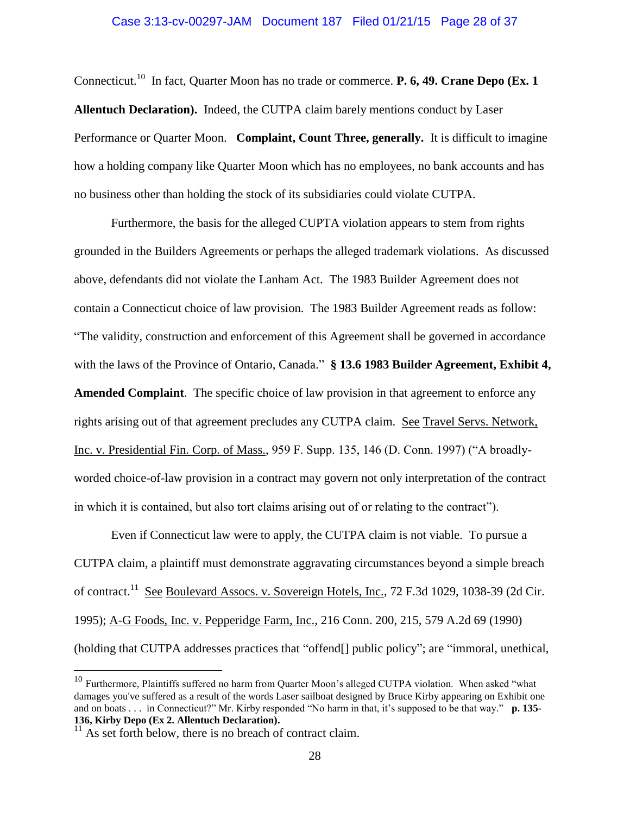Connecticut.<sup>10</sup> In fact, Quarter Moon has no trade or commerce. **P. 6, 49. Crane Depo (Ex. 1**) **Allentuch Declaration).** Indeed, the CUTPA claim barely mentions conduct by Laser Performance or Quarter Moon. **Complaint, Count Three, generally.** It is difficult to imagine how a holding company like Quarter Moon which has no employees, no bank accounts and has no business other than holding the stock of its subsidiaries could violate CUTPA.

<span id="page-27-3"></span>Furthermore, the basis for the alleged CUPTA violation appears to stem from rights grounded in the Builders Agreements or perhaps the alleged trademark violations. As discussed above, defendants did not violate the Lanham Act. The 1983 Builder Agreement does not contain a Connecticut choice of law provision. The 1983 Builder Agreement reads as follow: "The validity, construction and enforcement of this Agreement shall be governed in accordance with the laws of the Province of Ontario, Canada." **§ 13.6 1983 Builder Agreement, Exhibit 4, Amended Complaint**. The specific choice of law provision in that agreement to enforce any rights arising out of that agreement precludes any CUTPA claim. See Travel Servs. Network, Inc. v. Presidential Fin. Corp. of Mass., 959 F. Supp. 135, 146 (D. Conn. 1997) ("A broadlyworded choice-of-law provision in a contract may govern not only interpretation of the contract in which it is contained, but also tort claims arising out of or relating to the contract").

<span id="page-27-2"></span><span id="page-27-1"></span>Even if Connecticut law were to apply, the CUTPA claim is not viable. To pursue a CUTPA claim, a plaintiff must demonstrate aggravating circumstances beyond a simple breach of contract.<sup>11</sup> See Boulevard Assocs. v. Sovereign Hotels, Inc., 72 F.3d 1029, 1038-39 (2d Cir. 1995); A-G Foods, Inc. v. Pepperidge Farm, Inc., 216 Conn. 200, 215, 579 A.2d 69 (1990) (holding that CUTPA addresses practices that "offend[] public policy"; are "immoral, unethical,

<span id="page-27-0"></span> $\overline{a}$ 

 $10$  Furthermore, Plaintiffs suffered no harm from Quarter Moon's alleged CUTPA violation. When asked "what damages you've suffered as a result of the words Laser sailboat designed by Bruce Kirby appearing on Exhibit one and on boats . . . in Connecticut?" Mr. Kirby responded "No harm in that, it's supposed to be that way." **p. 135- 136, Kirby Depo (Ex 2. Allentuch Declaration).**

 $11$  As set forth below, there is no breach of contract claim.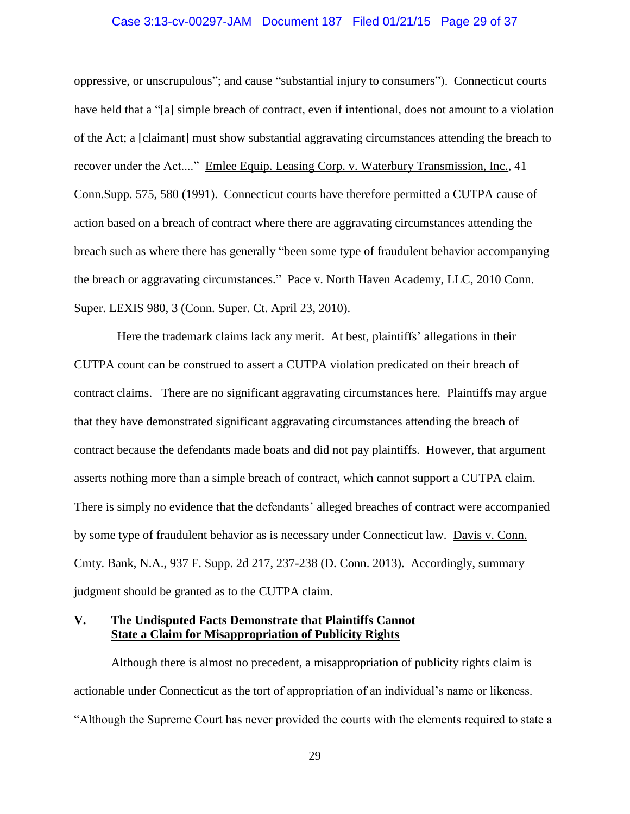#### Case 3:13-cv-00297-JAM Document 187 Filed 01/21/15 Page 29 of 37

<span id="page-28-1"></span>oppressive, or unscrupulous"; and cause "substantial injury to consumers"). Connecticut courts have held that a "[a] simple breach of contract, even if intentional, does not amount to a violation of the Act; a [claimant] must show substantial aggravating circumstances attending the breach to recover under the Act...." Emlee Equip. Leasing Corp. v. Waterbury Transmission, Inc., 41 Conn.Supp. 575, 580 (1991). Connecticut courts have therefore permitted a CUTPA cause of action based on a breach of contract where there are aggravating circumstances attending the breach such as where there has generally "been some type of fraudulent behavior accompanying the breach or aggravating circumstances." Pace v. North Haven Academy, LLC, 2010 Conn. Super. LEXIS 980, 3 (Conn. Super. Ct. April 23, 2010).

<span id="page-28-2"></span> Here the trademark claims lack any merit. At best, plaintiffs' allegations in their CUTPA count can be construed to assert a CUTPA violation predicated on their breach of contract claims. There are no significant aggravating circumstances here. Plaintiffs may argue that they have demonstrated significant aggravating circumstances attending the breach of contract because the defendants made boats and did not pay plaintiffs. However, that argument asserts nothing more than a simple breach of contract, which cannot support a CUTPA claim. There is simply no evidence that the defendants' alleged breaches of contract were accompanied by some type of fraudulent behavior as is necessary under Connecticut law. Davis v. Conn. Cmty. Bank, N.A., 937 F. Supp. 2d 217, 237-238 (D. Conn. 2013). Accordingly, summary judgment should be granted as to the CUTPA claim.

## <span id="page-28-0"></span>**V. The Undisputed Facts Demonstrate that Plaintiffs Cannot State a Claim for Misappropriation of Publicity Rights**

Although there is almost no precedent, a misappropriation of publicity rights claim is actionable under Connecticut as the tort of appropriation of an individual's name or likeness. "Although the Supreme Court has never provided the courts with the elements required to state a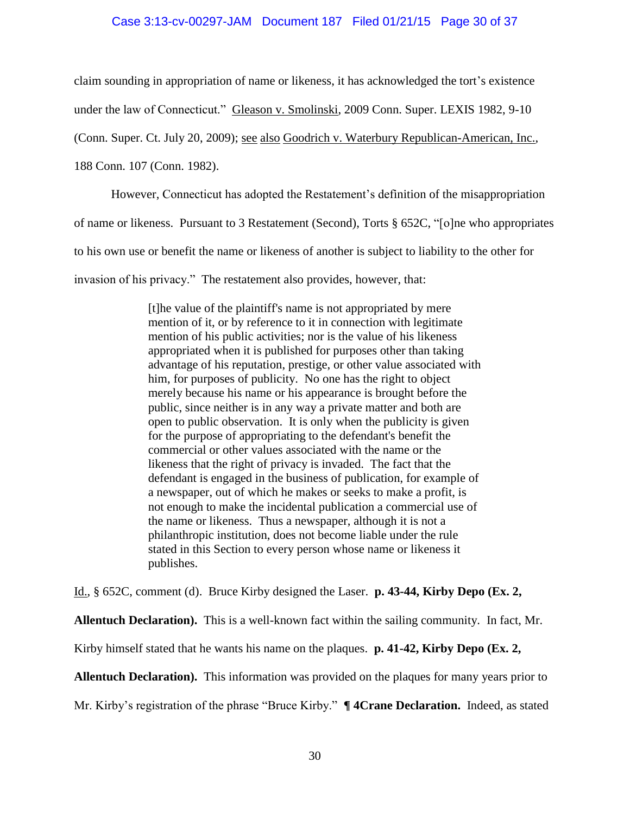#### <span id="page-29-1"></span><span id="page-29-0"></span>Case 3:13-cv-00297-JAM Document 187 Filed 01/21/15 Page 30 of 37

claim sounding in appropriation of name or likeness, it has acknowledged the tort's existence under the law of Connecticut." Gleason v. Smolinski, 2009 Conn. Super. LEXIS 1982, 9-10 (Conn. Super. Ct. July 20, 2009); see also Goodrich v. Waterbury Republican-American, Inc., 188 Conn. 107 (Conn. 1982).

However, Connecticut has adopted the Restatement's definition of the misappropriation of name or likeness. Pursuant to 3 Restatement (Second), Torts § 652C, "[o]ne who appropriates to his own use or benefit the name or likeness of another is subject to liability to the other for invasion of his privacy." The restatement also provides, however, that:

> <span id="page-29-2"></span>[t]he value of the plaintiff's name is not appropriated by mere mention of it, or by reference to it in connection with legitimate mention of his public activities; nor is the value of his likeness appropriated when it is published for purposes other than taking advantage of his reputation, prestige, or other value associated with him, for purposes of publicity. No one has the right to object merely because his name or his appearance is brought before the public, since neither is in any way a private matter and both are open to public observation. It is only when the publicity is given for the purpose of appropriating to the defendant's benefit the commercial or other values associated with the name or the likeness that the right of privacy is invaded. The fact that the defendant is engaged in the business of publication, for example of a newspaper, out of which he makes or seeks to make a profit, is not enough to make the incidental publication a commercial use of the name or likeness. Thus a newspaper, although it is not a philanthropic institution, does not become liable under the rule stated in this Section to every person whose name or likeness it publishes.

Id., § 652C, comment (d). Bruce Kirby designed the Laser. **p. 43-44, Kirby Depo (Ex. 2,** 

**Allentuch Declaration).** This is a well-known fact within the sailing community. In fact, Mr.

Kirby himself stated that he wants his name on the plaques. **p. 41-42, Kirby Depo (Ex. 2,** 

**Allentuch Declaration).** This information was provided on the plaques for many years prior to

Mr. Kirby's registration of the phrase "Bruce Kirby." **¶ 4Crane Declaration.** Indeed, as stated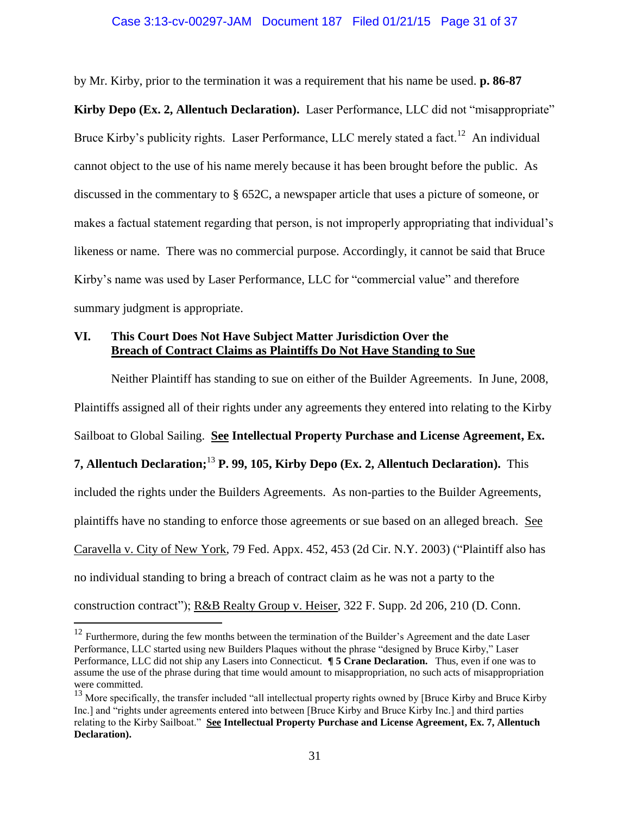#### Case 3:13-cv-00297-JAM Document 187 Filed 01/21/15 Page 31 of 37

by Mr. Kirby, prior to the termination it was a requirement that his name be used. **p. 86-87**

<span id="page-30-2"></span>**Kirby Depo (Ex. 2, Allentuch Declaration).** Laser Performance, LLC did not "misappropriate" Bruce Kirby's publicity rights. Laser Performance, LLC merely stated a fact.<sup>12</sup> An individual cannot object to the use of his name merely because it has been brought before the public. As discussed in the commentary to § 652C, a newspaper article that uses a picture of someone, or makes a factual statement regarding that person, is not improperly appropriating that individual's likeness or name. There was no commercial purpose. Accordingly, it cannot be said that Bruce Kirby's name was used by Laser Performance, LLC for "commercial value" and therefore summary judgment is appropriate.

# **VI. This Court Does Not Have Subject Matter Jurisdiction Over the Breach of Contract Claims as Plaintiffs Do Not Have Standing to Sue**

Neither Plaintiff has standing to sue on either of the Builder Agreements. In June, 2008, Plaintiffs assigned all of their rights under any agreements they entered into relating to the Kirby Sailboat to Global Sailing. **See Intellectual Property Purchase and License Agreement, Ex. 7, Allentuch Declaration;**<sup>13</sup> **P. 99, 105, Kirby Depo (Ex. 2, Allentuch Declaration).** This included the rights under the Builders Agreements. As non-parties to the Builder Agreements, plaintiffs have no standing to enforce those agreements or sue based on an alleged breach. See Caravella v. City of New York, 79 Fed. Appx. 452, 453 (2d Cir. N.Y. 2003) ("Plaintiff also has no individual standing to bring a breach of contract claim as he was not a party to the construction contract"); R&B Realty Group v. Heiser, 322 F. Supp. 2d 206, 210 (D. Conn.

<span id="page-30-1"></span><span id="page-30-0"></span> $\overline{a}$ 

 $12$  Furthermore, during the few months between the termination of the Builder's Agreement and the date Laser Performance, LLC started using new Builders Plaques without the phrase "designed by Bruce Kirby," Laser Performance, LLC did not ship any Lasers into Connecticut. **¶ 5 Crane Declaration.** Thus, even if one was to assume the use of the phrase during that time would amount to misappropriation, no such acts of misappropriation were committed.

<sup>&</sup>lt;sup>13</sup> More specifically, the transfer included "all intellectual property rights owned by [Bruce Kirby and Bruce Kirby Inc.] and "rights under agreements entered into between [Bruce Kirby and Bruce Kirby Inc.] and third parties relating to the Kirby Sailboat." **See Intellectual Property Purchase and License Agreement, Ex. 7, Allentuch Declaration).**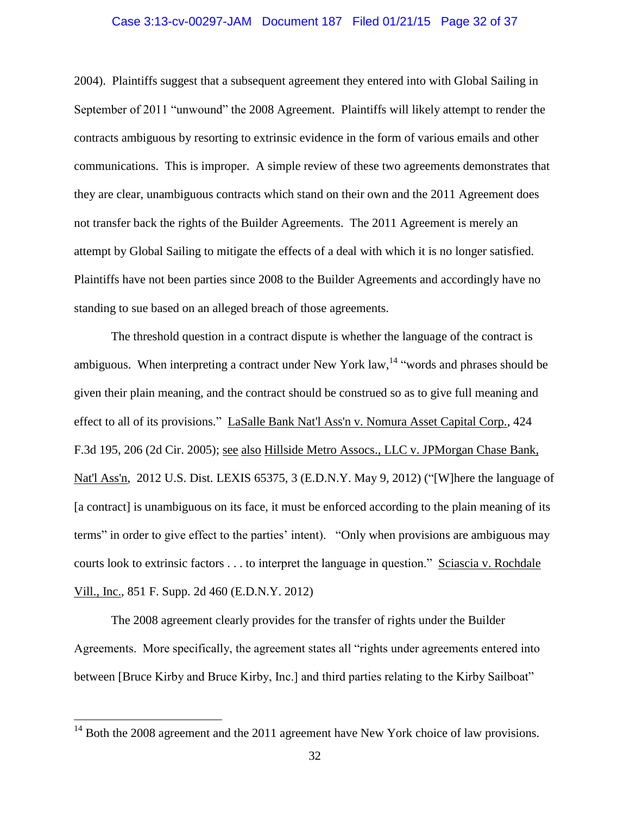#### Case 3:13-cv-00297-JAM Document 187 Filed 01/21/15 Page 32 of 37

2004). Plaintiffs suggest that a subsequent agreement they entered into with Global Sailing in September of 2011 "unwound" the 2008 Agreement. Plaintiffs will likely attempt to render the contracts ambiguous by resorting to extrinsic evidence in the form of various emails and other communications. This is improper. A simple review of these two agreements demonstrates that they are clear, unambiguous contracts which stand on their own and the 2011 Agreement does not transfer back the rights of the Builder Agreements. The 2011 Agreement is merely an attempt by Global Sailing to mitigate the effects of a deal with which it is no longer satisfied. Plaintiffs have not been parties since 2008 to the Builder Agreements and accordingly have no standing to sue based on an alleged breach of those agreements.

<span id="page-31-1"></span><span id="page-31-0"></span>The threshold question in a contract dispute is whether the language of the contract is ambiguous. When interpreting a contract under New York law,  $14 \text{``words}$  and phrases should be given their plain meaning, and the contract should be construed so as to give full meaning and effect to all of its provisions." LaSalle Bank Nat'l Ass'n v. Nomura Asset Capital Corp., 424 F.3d 195, 206 (2d Cir. 2005); see also Hillside Metro Assocs., LLC v. JPMorgan Chase Bank, Nat'l Ass'n, 2012 U.S. Dist. LEXIS 65375, 3 (E.D.N.Y. May 9, 2012) ("[W]here the language of [a contract] is unambiguous on its face, it must be enforced according to the plain meaning of its terms" in order to give effect to the parties' intent). "Only when provisions are ambiguous may courts look to extrinsic factors . . . to interpret the language in question." Sciascia v. Rochdale Vill., Inc., 851 F. Supp. 2d 460 (E.D.N.Y. 2012)

<span id="page-31-2"></span>The 2008 agreement clearly provides for the transfer of rights under the Builder Agreements. More specifically, the agreement states all "rights under agreements entered into between [Bruce Kirby and Bruce Kirby, Inc.] and third parties relating to the Kirby Sailboat"

 $\overline{a}$ 

 $14$  Both the 2008 agreement and the 2011 agreement have New York choice of law provisions.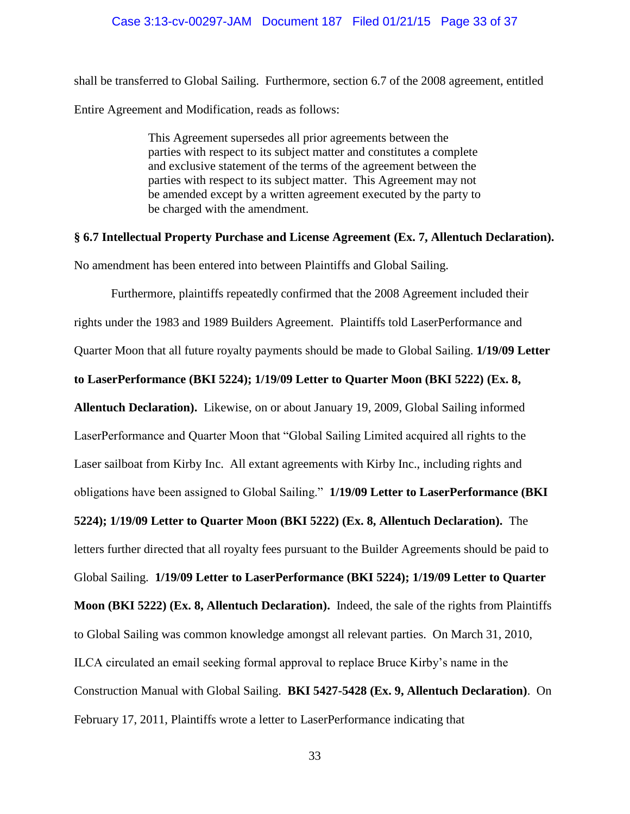# Case 3:13-cv-00297-JAM Document 187 Filed 01/21/15 Page 33 of 37

shall be transferred to Global Sailing. Furthermore, section 6.7 of the 2008 agreement, entitled Entire Agreement and Modification, reads as follows:

> <span id="page-32-0"></span>This Agreement supersedes all prior agreements between the parties with respect to its subject matter and constitutes a complete and exclusive statement of the terms of the agreement between the parties with respect to its subject matter. This Agreement may not be amended except by a written agreement executed by the party to be charged with the amendment.

## **§ 6.7 Intellectual Property Purchase and License Agreement (Ex. 7, Allentuch Declaration).**

No amendment has been entered into between Plaintiffs and Global Sailing.

Furthermore, plaintiffs repeatedly confirmed that the 2008 Agreement included their rights under the 1983 and 1989 Builders Agreement. Plaintiffs told LaserPerformance and Quarter Moon that all future royalty payments should be made to Global Sailing. **1/19/09 Letter to LaserPerformance (BKI 5224); 1/19/09 Letter to Quarter Moon (BKI 5222) (Ex. 8, Allentuch Declaration).** Likewise, on or about January 19, 2009, Global Sailing informed LaserPerformance and Quarter Moon that "Global Sailing Limited acquired all rights to the Laser sailboat from Kirby Inc. All extant agreements with Kirby Inc., including rights and obligations have been assigned to Global Sailing." **1/19/09 Letter to LaserPerformance (BKI 5224); 1/19/09 Letter to Quarter Moon (BKI 5222) (Ex. 8, Allentuch Declaration).** The letters further directed that all royalty fees pursuant to the Builder Agreements should be paid to Global Sailing. **1/19/09 Letter to LaserPerformance (BKI 5224); 1/19/09 Letter to Quarter Moon (BKI 5222) (Ex. 8, Allentuch Declaration).** Indeed, the sale of the rights from Plaintiffs to Global Sailing was common knowledge amongst all relevant parties. On March 31, 2010, ILCA circulated an email seeking formal approval to replace Bruce Kirby's name in the Construction Manual with Global Sailing. **BKI 5427-5428 (Ex. 9, Allentuch Declaration)**. On February 17, 2011, Plaintiffs wrote a letter to LaserPerformance indicating that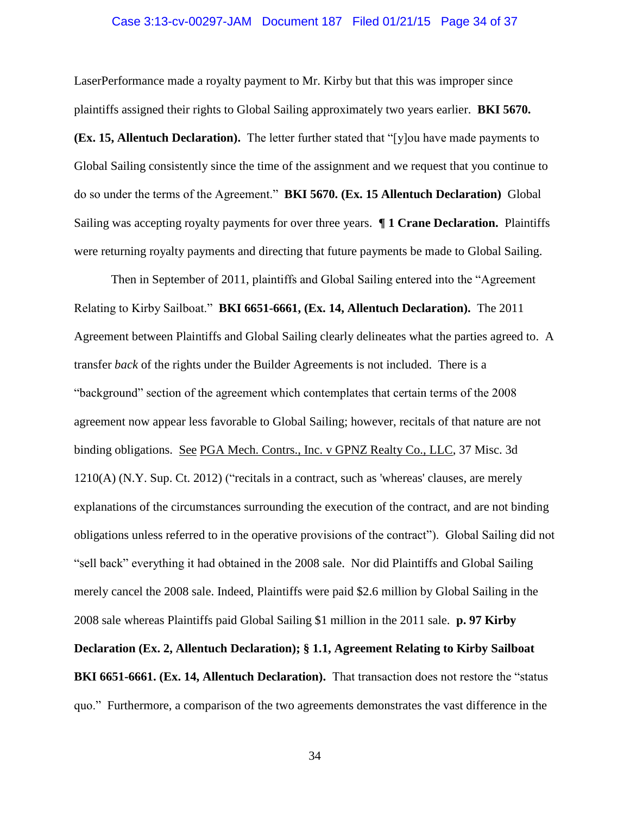#### Case 3:13-cv-00297-JAM Document 187 Filed 01/21/15 Page 34 of 37

LaserPerformance made a royalty payment to Mr. Kirby but that this was improper since plaintiffs assigned their rights to Global Sailing approximately two years earlier. **BKI 5670. (Ex. 15, Allentuch Declaration).** The letter further stated that "[y]ou have made payments to Global Sailing consistently since the time of the assignment and we request that you continue to do so under the terms of the Agreement." **BKI 5670. (Ex. 15 Allentuch Declaration)** Global Sailing was accepting royalty payments for over three years. **¶ 1 Crane Declaration.** Plaintiffs were returning royalty payments and directing that future payments be made to Global Sailing.

<span id="page-33-0"></span>Then in September of 2011, plaintiffs and Global Sailing entered into the "Agreement Relating to Kirby Sailboat." **BKI 6651-6661, (Ex. 14, Allentuch Declaration).** The 2011 Agreement between Plaintiffs and Global Sailing clearly delineates what the parties agreed to. A transfer *back* of the rights under the Builder Agreements is not included. There is a "background" section of the agreement which contemplates that certain terms of the 2008 agreement now appear less favorable to Global Sailing; however, recitals of that nature are not binding obligations. See PGA Mech. Contrs., Inc. v GPNZ Realty Co., LLC, 37 Misc. 3d 1210(A) (N.Y. Sup. Ct. 2012) ("recitals in a contract, such as 'whereas' clauses, are merely explanations of the circumstances surrounding the execution of the contract, and are not binding obligations unless referred to in the operative provisions of the contract"). Global Sailing did not "sell back" everything it had obtained in the 2008 sale. Nor did Plaintiffs and Global Sailing merely cancel the 2008 sale. Indeed, Plaintiffs were paid \$2.6 million by Global Sailing in the 2008 sale whereas Plaintiffs paid Global Sailing \$1 million in the 2011 sale. **p. 97 Kirby** 

# <span id="page-33-1"></span>**Declaration (Ex. 2, Allentuch Declaration); § 1.1, Agreement Relating to Kirby Sailboat BKI 6651-6661. (Ex. 14, Allentuch Declaration).** That transaction does not restore the "status quo." Furthermore, a comparison of the two agreements demonstrates the vast difference in the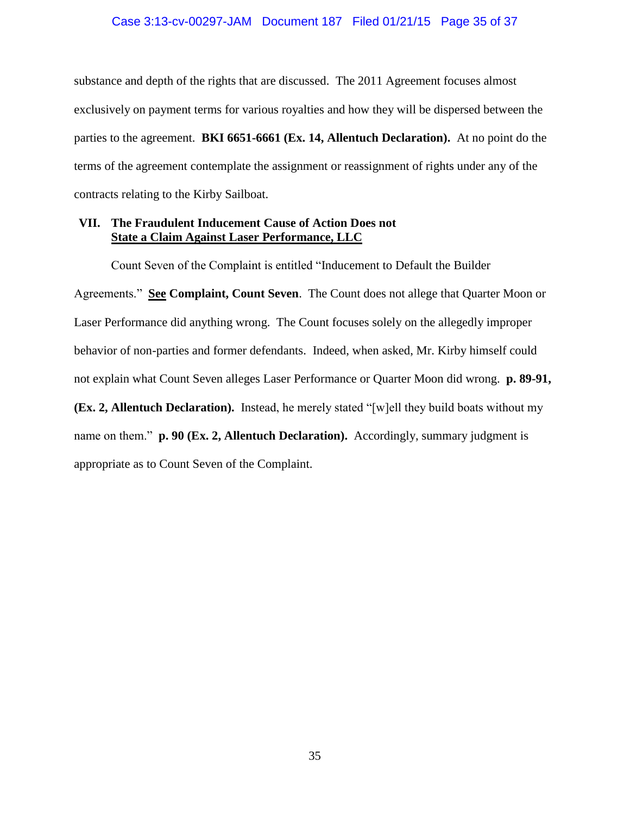# Case 3:13-cv-00297-JAM Document 187 Filed 01/21/15 Page 35 of 37

substance and depth of the rights that are discussed. The 2011 Agreement focuses almost exclusively on payment terms for various royalties and how they will be dispersed between the parties to the agreement. **BKI 6651-6661 (Ex. 14, Allentuch Declaration).** At no point do the terms of the agreement contemplate the assignment or reassignment of rights under any of the contracts relating to the Kirby Sailboat.

# **VII. The Fraudulent Inducement Cause of Action Does not State a Claim Against Laser Performance, LLC**

Count Seven of the Complaint is entitled "Inducement to Default the Builder Agreements." **See Complaint, Count Seven**. The Count does not allege that Quarter Moon or Laser Performance did anything wrong. The Count focuses solely on the allegedly improper behavior of non-parties and former defendants. Indeed, when asked, Mr. Kirby himself could not explain what Count Seven alleges Laser Performance or Quarter Moon did wrong. **p. 89-91, (Ex. 2, Allentuch Declaration).** Instead, he merely stated "[w]ell they build boats without my name on them." **p. 90 (Ex. 2, Allentuch Declaration).** Accordingly, summary judgment is appropriate as to Count Seven of the Complaint.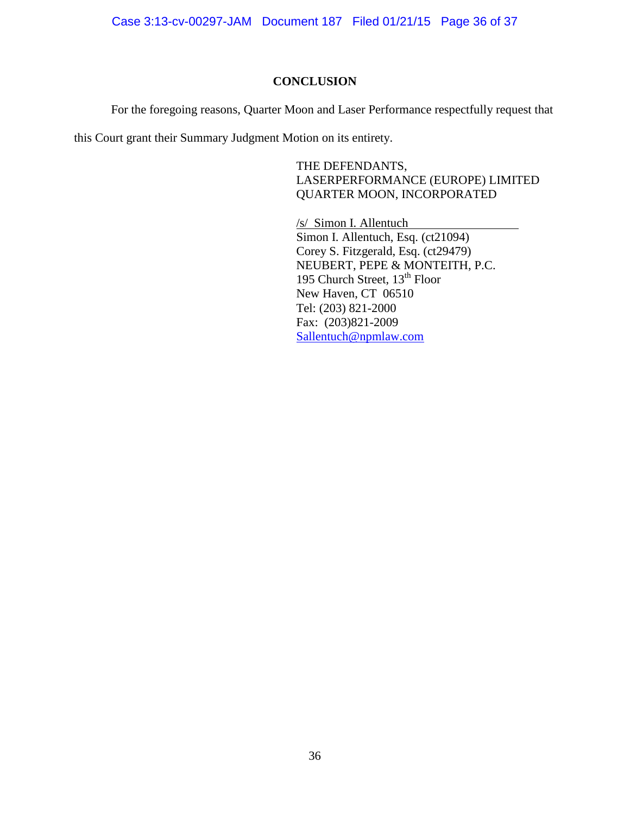Case 3:13-cv-00297-JAM Document 187 Filed 01/21/15 Page 36 of 37

# **CONCLUSION**

For the foregoing reasons, Quarter Moon and Laser Performance respectfully request that

this Court grant their Summary Judgment Motion on its entirety.

THE DEFENDANTS, LASERPERFORMANCE (EUROPE) LIMITED QUARTER MOON, INCORPORATED

/s/ Simon I. Allentuch Simon I. Allentuch, Esq. (ct21094) Corey S. Fitzgerald, Esq. (ct29479) NEUBERT, PEPE & MONTEITH, P.C. 195 Church Street, 13<sup>th</sup> Floor New Haven, CT 06510 Tel: (203) 821-2000 Fax: (203)821-2009 [Sallentuch@npmlaw.com](mailto:Sallentuch@npmlaw.com)